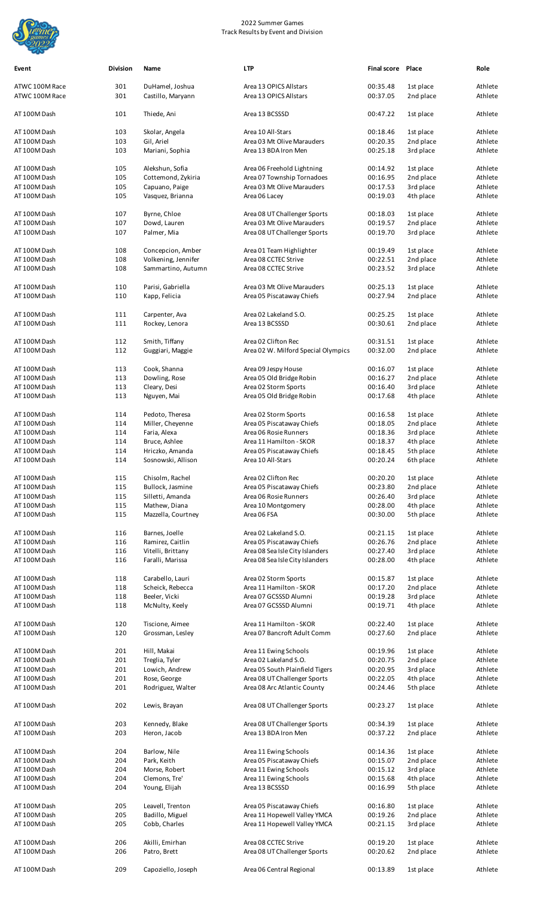

| Event                            | <b>Division</b> | Name                                 | <b>LTP</b>                                       | Final score Place    |                        | Role               |
|----------------------------------|-----------------|--------------------------------------|--------------------------------------------------|----------------------|------------------------|--------------------|
| ATWC 100M Race<br>ATWC 100M Race | 301<br>301      | DuHamel, Joshua<br>Castillo, Maryann | Area 13 OPICS Allstars<br>Area 13 OPICS Allstars | 00:35.48<br>00:37.05 | 1st place<br>2nd place | Athlete<br>Athlete |
| AT 100M Dash                     | 101             | Thiede, Ani                          | Area 13 BCSSSD                                   | 00:47.22             | 1st place              | Athlete            |
|                                  |                 |                                      |                                                  |                      |                        |                    |
| AT 100M Dash<br>AT 100M Dash     | 103<br>103      | Skolar, Angela<br>Gil, Ariel         | Area 10 All-Stars<br>Area 03 Mt Olive Marauders  | 00:18.46<br>00:20.35 | 1st place<br>2nd place | Athlete<br>Athlete |
| AT 100M Dash                     | 103             | Mariani, Sophia                      | Area 13 BDA Iron Men                             | 00:25.18             | 3rd place              | Athlete            |
| AT 100M Dash                     | 105             | Alekshun, Sofia                      | Area 06 Freehold Lightning                       | 00:14.92             | 1st place              | Athlete            |
| AT 100M Dash                     | 105             | Cottemond, Zykiria                   | Area 07 Township Tornadoes                       | 00:16.95             | 2nd place              | Athlete            |
| AT 100M Dash                     | 105             | Capuano, Paige                       | Area 03 Mt Olive Marauders                       | 00:17.53             | 3rd place              | Athlete            |
| AT 100M Dash                     | 105             | Vasquez, Brianna                     | Area 06 Lacey                                    | 00:19.03             | 4th place              | Athlete            |
| AT 100M Dash                     | 107             | Byrne, Chloe                         | Area 08 UT Challenger Sports                     | 00:18.03             | 1st place              | Athlete            |
| AT 100M Dash                     | 107             | Dowd, Lauren                         | Area 03 Mt Olive Marauders                       | 00:19.57             | 2nd place              | Athlete            |
| AT 100M Dash                     | 107             | Palmer, Mia                          | Area 08 UT Challenger Sports                     | 00:19.70             | 3rd place              | Athlete            |
| AT 100M Dash                     | 108             | Concepcion, Amber                    | Area 01 Team Highlighter                         | 00:19.49             | 1st place              | Athlete            |
| AT 100M Dash                     | 108             | Volkening, Jennifer                  | Area 08 CCTEC Strive                             | 00:22.51             | 2nd place              | Athlete            |
| AT 100M Dash                     | 108             | Sammartino, Autumn                   | Area 08 CCTEC Strive                             | 00:23.52             | 3rd place              | Athlete            |
|                                  |                 |                                      |                                                  |                      |                        |                    |
| AT 100M Dash                     | 110             | Parisi, Gabriella                    | Area 03 Mt Olive Marauders                       | 00:25.13             | 1st place              | Athlete            |
| AT 100M Dash                     | 110             | Kapp, Felicia                        | Area 05 Piscataway Chiefs                        | 00:27.94             | 2nd place              | Athlete            |
| AT 100M Dash                     | 111             | Carpenter, Ava                       | Area 02 Lakeland S.O.                            | 00:25.25             | 1st place              | Athlete            |
| AT 100M Dash                     | 111             | Rockey, Lenora                       | Area 13 BCSSSD                                   | 00:30.61             | 2nd place              | Athlete            |
| AT 100M Dash                     | 112             | Smith, Tiffany                       | Area 02 Clifton Rec                              | 00:31.51             | 1st place              | Athlete            |
| AT 100M Dash                     | 112             | Guggiari, Maggie                     | Area 02 W. Milford Special Olympics              | 00:32.00             | 2nd place              | Athlete            |
|                                  |                 |                                      |                                                  |                      |                        |                    |
| AT 100M Dash                     | 113<br>113      | Cook, Shanna<br>Dowling, Rose        | Area 09 Jespy House<br>Area 05 Old Bridge Robin  | 00:16.07<br>00:16.27 | 1st place<br>2nd place | Athlete<br>Athlete |
| AT 100M Dash<br>AT 100M Dash     | 113             | Cleary, Desi                         | Area 02 Storm Sports                             | 00:16.40             | 3rd place              | Athlete            |
| AT 100M Dash                     | 113             | Nguyen, Mai                          | Area 05 Old Bridge Robin                         | 00:17.68             | 4th place              | Athlete            |
|                                  |                 |                                      |                                                  |                      |                        |                    |
| AT 100M Dash                     | 114             | Pedoto, Theresa                      | Area 02 Storm Sports                             | 00:16.58             | 1st place              | Athlete            |
| AT 100M Dash                     | 114             | Miller, Cheyenne                     | Area 05 Piscataway Chiefs                        | 00:18.05             | 2nd place              | Athlete            |
| AT 100M Dash                     | 114             | Faria, Alexa                         | Area 06 Rosie Runners                            | 00:18.36             | 3rd place              | Athlete            |
| AT 100M Dash                     | 114             | Bruce, Ashlee                        | Area 11 Hamilton - SKOR                          | 00:18.37             | 4th place              | Athlete            |
| AT 100M Dash                     | 114             | Hriczko, Amanda                      | Area 05 Piscataway Chiefs                        | 00:18.45             | 5th place              | Athlete            |
| AT 100M Dash                     | 114             | Sosnowski, Allison                   | Area 10 All-Stars                                | 00:20.24             | 6th place              | Athlete            |
| AT 100M Dash                     | 115             | Chisolm, Rachel                      | Area 02 Clifton Rec                              | 00:20.20             | 1st place              | Athlete            |
| AT 100M Dash                     | 115             | Bullock, Jasmine                     | Area 05 Piscataway Chiefs                        | 00:23.80             | 2nd place              | Athlete            |
| AT 100M Dash                     | 115             | Silletti, Amanda                     | Area 06 Rosie Runners                            | 00:26.40             | 3rd place              | Athlete            |
| AT 100M Dash                     | 115<br>115      | Mathew, Diana<br>Mazzella, Courtney  | Area 10 Montgomery<br>Area 06 FSA                | 00:28.00             | 4th place              | Athlete<br>Athlete |
| AT 100M Dash                     |                 |                                      |                                                  | 00:30.00             | 5th place              |                    |
| AT 100M Dash                     | 116             | Barnes, Joelle                       | Area 02 Lakeland S.O.                            | 00:21.15             | 1st place              | Athlete            |
| AT 100M Dash                     | 116             | Ramirez, Caitlin                     | Area 05 Piscataway Chiefs                        | 00:26.76             | 2nd place              | Athlete            |
| AT 100M Dash                     | 116             | Vitelli, Brittany                    | Area 08 Sea Isle City Islanders                  | 00:27.40             | 3rd place              | Athlete            |
| AT 100M Dash                     | 116             | Faralli, Marissa                     | Area 08 Sea Isle City Islanders                  | 00:28.00             | 4th place              | Athlete            |
| AT 100M Dash                     | 118             | Carabello, Lauri                     | Area 02 Storm Sports                             | 00:15.87             | 1st place              | Athlete            |
| AT 100M Dash                     | 118             | Scheick, Rebecca                     | Area 11 Hamilton - SKOR                          | 00:17.20             | 2nd place              | Athlete            |
| AT 100M Dash                     | 118             | Beeler, Vicki                        | Area 07 GCSSSD Alumni                            | 00:19.28             | 3rd place              | Athlete            |
| AT 100M Dash                     | 118             | McNulty, Keely                       | Area 07 GCSSSD Alumni                            | 00:19.71             | 4th place              | Athlete            |
| AT 100M Dash                     | 120             | Tiscione, Aimee                      | Area 11 Hamilton - SKOR                          | 00:22.40             | 1st place              | Athlete            |
| AT 100M Dash                     | 120             | Grossman, Lesley                     | Area 07 Bancroft Adult Comm                      | 00:27.60             | 2nd place              | Athlete            |
|                                  |                 |                                      |                                                  |                      |                        | Athlete            |
| AT 100M Dash<br>AT 100M Dash     | 201<br>201      | Hill, Makai<br>Treglia, Tyler        | Area 11 Ewing Schools<br>Area 02 Lakeland S.O.   | 00:19.96<br>00:20.75 | 1st place<br>2nd place | Athlete            |
| AT 100M Dash                     | 201             | Lowich, Andrew                       | Area 05 South Plainfield Tigers                  | 00:20.95             | 3rd place              | Athlete            |
| AT 100M Dash                     | 201             | Rose, George                         | Area 08 UT Challenger Sports                     | 00:22.05             | 4th place              | Athlete            |
| AT 100M Dash                     | 201             | Rodriguez, Walter                    | Area 08 Arc Atlantic County                      | 00:24.46             | 5th place              | Athlete            |
| AT 100M Dash                     | 202             | Lewis, Brayan                        | Area 08 UT Challenger Sports                     | 00:23.27             | 1st place              | Athlete            |
| AT 100M Dash                     | 203             | Kennedy, Blake                       | Area 08 UT Challenger Sports                     | 00:34.39             | 1st place              | Athlete            |
| AT 100M Dash                     | 203             | Heron, Jacob                         | Area 13 BDA Iron Men                             | 00:37.22             | 2nd place              | Athlete            |
| AT 100M Dash                     | 204             | Barlow, Nile                         | Area 11 Ewing Schools                            | 00:14.36             | 1st place              | Athlete            |
| AT 100M Dash                     | 204             | Park, Keith                          | Area 05 Piscataway Chiefs                        | 00:15.07             | 2nd place              | Athlete            |
| AT 100M Dash                     | 204             | Morse, Robert                        | Area 11 Ewing Schools                            | 00:15.12             | 3rd place              | Athlete            |
| AT 100M Dash                     | 204             | Clemons, Tre'                        | Area 11 Ewing Schools                            | 00:15.68             | 4th place              | Athlete            |
| AT 100M Dash                     | 204             | Young, Elijah                        | Area 13 BCSSSD                                   | 00:16.99             | 5th place              | Athlete            |
| AT 100M Dash                     | 205             | Leavell, Trenton                     | Area 05 Piscataway Chiefs                        | 00:16.80             | 1st place              | Athlete            |
| AT 100M Dash                     | 205             | Badillo, Miguel                      | Area 11 Hopewell Valley YMCA                     | 00:19.26             | 2nd place              | Athlete            |
| AT 100M Dash                     | 205             | Cobb, Charles                        | Area 11 Hopewell Valley YMCA                     | 00:21.15             | 3rd place              | Athlete            |
| AT 100M Dash                     | 206             | Akilli, Emirhan                      | Area 08 CCTEC Strive                             | 00:19.20             | 1st place              | Athlete            |
| AT 100M Dash                     | 206             | Patro, Brett                         | Area 08 UT Challenger Sports                     | 00:20.62             | 2nd place              | Athlete            |
| AT 100M Dash                     | 209             | Capoziello, Joseph                   | Area 06 Central Regional                         | 00:13.89             | 1st place              | Athlete            |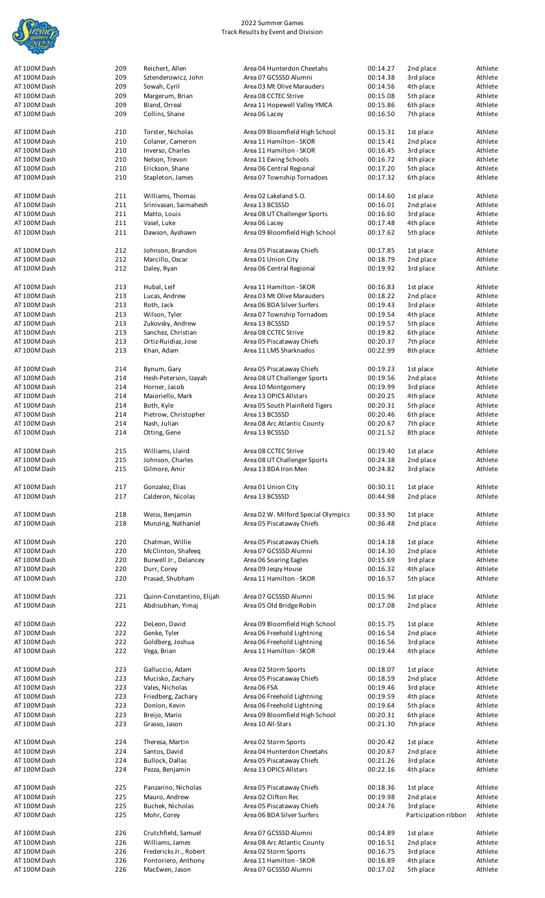

| AT 100M Dash<br>AT 100M Dash | 209 | Reichert, Allen           | Area 04 Hunterdon Cheetahs          | 00:14.27 | 2nd place            | Athlete |
|------------------------------|-----|---------------------------|-------------------------------------|----------|----------------------|---------|
|                              |     |                           |                                     |          |                      |         |
|                              | 209 | Sztenderowicz, John       | Area 07 GCSSSD Alumni               | 00:14.38 | 3rd place            | Athlete |
| AT 100M Dash                 | 209 | Sowah, Cyril              | Area 03 Mt Olive Marauders          | 00:14.56 | 4th place            | Athlete |
|                              |     |                           |                                     |          |                      |         |
| AT 100M Dash                 | 209 | Margerum, Brian           | Area 08 CCTEC Strive                | 00:15.08 | 5th place            | Athlete |
| AT 100M Dash                 | 209 | Bland, Orreal             | Area 11 Hopewell Valley YMCA        | 00:15.86 | 6th place            | Athlete |
|                              |     |                           |                                     |          |                      |         |
| AT 100M Dash                 | 209 | Collins, Shane            | Area 06 Lacey                       | 00:16.50 | 7th place            | Athlete |
|                              |     |                           |                                     |          |                      |         |
| AT 100M Dash                 | 210 | Torster, Nicholas         | Area 09 Bloomfield High School      | 00:15.31 | 1st place            | Athlete |
|                              |     |                           |                                     |          |                      |         |
| AT 100M Dash                 | 210 | Colaner, Cameron          | Area 11 Hamilton - SKOR             | 00:15.41 | 2nd place            | Athlete |
| AT 100M Dash                 | 210 | Inverso, Charles          | Area 11 Hamilton - SKOR             | 00:16.45 | 3rd place            | Athlete |
|                              | 210 |                           |                                     |          |                      | Athlete |
| AT 100M Dash                 |     | Nelson, Trevon            | Area 11 Ewing Schools               | 00:16.72 | 4th place            |         |
| AT 100M Dash                 | 210 | Erickson, Shane           | Area 06 Central Regional            | 00:17.20 | 5th place            | Athlete |
| AT 100M Dash                 | 210 | Stapleton, James          | Area 07 Township Tornadoes          | 00:17.32 | 6th place            | Athlete |
|                              |     |                           |                                     |          |                      |         |
|                              |     |                           |                                     |          |                      |         |
| AT 100M Dash                 | 211 | Williams, Thomas          | Area 02 Lakeland S.O.               | 00:14.60 | 1st place            | Athlete |
| AT 100M Dash                 | 211 |                           | Area 13 BCSSSD                      |          |                      | Athlete |
|                              |     | Srinivasan, Saimahesh     |                                     | 00:16.01 | 2nd place            |         |
| AT 100M Dash                 | 211 | Matto, Louis              | Area 08 UT Challenger Sports        | 00:16.60 | 3rd place            | Athlete |
| AT 100M Dash                 | 211 | Vasel, Luke               | Area 06 Lacey                       | 00:17.48 | 4th place            | Athlete |
|                              |     |                           |                                     |          |                      |         |
| AT 100M Dash                 | 211 | Dawson, Ayshawn           | Area 09 Bloomfield High School      | 00:17.62 | 5th place            | Athlete |
|                              |     |                           |                                     |          |                      |         |
| AT 100M Dash                 | 212 |                           |                                     | 00:17.85 |                      |         |
|                              |     | Johnson, Brandon          | Area 05 Piscataway Chiefs           |          | 1st place            | Athlete |
| AT 100M Dash                 | 212 | Marcillo, Oscar           | Area 01 Union City                  | 00:18.79 | 2nd place            | Athlete |
| AT 100M Dash                 | 212 | Daley, Ryan               | Area 06 Central Regional            | 00:19.92 | 3rd place            | Athlete |
|                              |     |                           |                                     |          |                      |         |
|                              |     |                           |                                     |          |                      |         |
| AT 100M Dash                 | 213 | Hubal, Leif               | Area 11 Hamilton - SKOR             | 00:16.83 | 1st place            | Athlete |
| AT 100M Dash                 | 213 | Lucas, Andrew             | Area 03 Mt Olive Marauders          | 00:18.22 | 2nd place            | Athlete |
|                              |     |                           |                                     |          |                      |         |
| AT 100M Dash                 | 213 | Roth, Jack                | Area 06 BDA Silver Surfers          | 00:19.43 | 3rd place            | Athlete |
| AT 100M Dash                 | 213 | Wilson, Tyler             | Area 07 Township Tornadoes          | 00:19.54 | 4th place            | Athlete |
|                              |     |                           |                                     |          |                      |         |
| AT 100M Dash                 | 213 | Zukovsky, Andrew          | Area 13 BCSSSD                      | 00:19.57 | 5th place            | Athlete |
| AT 100M Dash                 | 213 | Sanchez, Christian        | Area 08 CCTEC Strive                | 00:19.82 | 6th place            | Athlete |
|                              |     |                           |                                     |          |                      |         |
| AT 100M Dash                 | 213 | Ortiz-Ruidiaz, Jose       | Area 05 Piscataway Chiefs           | 00:20.37 | 7th place            | Athlete |
| AT 100M Dash                 | 213 | Khan, Adam                | Area 11 LMS Sharknados              | 00:22.99 | 8th place            | Athlete |
|                              |     |                           |                                     |          |                      |         |
|                              |     |                           |                                     |          |                      |         |
| AT 100M Dash                 | 214 | Bynum, Gary               | Area 05 Piscataway Chiefs           | 00:19.23 | 1st place            | Athlete |
| AT 100M Dash                 | 214 | Hesh-Peterson, Izayah     | Area 08 UT Challenger Sports        | 00:19.56 | 2nd place            | Athlete |
|                              |     |                           |                                     |          |                      |         |
| AT 100M Dash                 | 214 | Horner, Jacob             | Area 10 Montgomery                  | 00:19.99 | 3rd place            | Athlete |
| AT 100M Dash                 | 214 | Maioriello, Mark          | Area 13 OPICS Allstars              | 00:20.25 | 4th place            | Athlete |
|                              |     |                           |                                     |          |                      |         |
| AT 100M Dash                 | 214 | Both, Kyle                | Area 05 South Plainfield Tigers     | 00:20.31 | 5th place            | Athlete |
| AT 100M Dash                 | 214 | Pietrow, Christopher      | Area 13 BCSSSD                      | 00:20.46 | 6th place            | Athlete |
| AT 100M Dash                 | 214 | Nash, Julian              | Area 08 Arc Atlantic County         | 00:20.67 | 7th place            | Athlete |
|                              |     |                           |                                     |          |                      |         |
| AT 100M Dash                 | 214 | Otting, Gene              | Area 13 BCSSSD                      | 00:21.52 | 8th place            | Athlete |
|                              |     |                           |                                     |          |                      |         |
| AT 100M Dash                 |     |                           |                                     |          |                      |         |
|                              | 215 | Williams, Llaird          | Area 08 CCTEC Strive                | 00:19.40 | 1st place            | Athlete |
| AT 100M Dash                 | 215 | Johnson, Charles          | Area 08 UT Challenger Sports        | 00:24.38 | 2nd place            | Athlete |
| AT 100M Dash                 | 215 | Gilmore, Amir             | Area 13 BDA Iron Men                | 00:24.82 | 3rd place            | Athlete |
|                              |     |                           |                                     |          |                      |         |
|                              |     |                           |                                     |          |                      |         |
| AT 100M Dash                 | 217 | Gonzalez, Elias           | Area 01 Union City                  | 00:30.11 | 1st place            | Athlete |
|                              |     |                           |                                     |          |                      |         |
| AT 100M Dash                 | 217 | Calderon, Nicolas         | Area 13 BCSSSD                      | 00:44.98 | 2nd place            | Athlete |
|                              |     |                           |                                     |          |                      |         |
| AT 100M Dash                 | 218 | Weiss, Benjamin           | Area 02 W. Milford Special Olympics | 00:33.90 | 1st place            | Athlete |
|                              |     |                           |                                     |          |                      |         |
| AT 100M Dash                 | 218 | Munzing, Nathaniel        | Area 05 Piscataway Chiefs           | 00:36.48 | 2nd place            | Athlete |
|                              |     |                           |                                     |          |                      |         |
| AT 100M Dash                 | 220 | Chatman, Willie           | Area 05 Piscataway Chiefs           | 00:14.18 |                      | Athlete |
|                              |     |                           |                                     |          | 1st place            |         |
| AT 100M Dash                 | 220 | McClinton, Shafeeq        | Area 07 GCSSSD Alumni               | 00:14.30 | 2nd place            | Athlete |
|                              |     | Burwell Jr., Delancey     | Area 06 Soaring Eagles              | 00:15.69 | 3rd place            | Athlete |
|                              |     |                           |                                     |          |                      |         |
| AT 100M Dash                 | 220 |                           |                                     |          | 4th place            |         |
| AT 100M Dash                 | 220 | Durr, Corey               | Area 09 Jespy House                 | 00:16.32 |                      |         |
| AT 100M Dash                 | 220 | Prasad, Shubham           | Area 11 Hamilton - SKOR             | 00:16.57 |                      | Athlete |
|                              |     |                           |                                     |          | 5th place            |         |
|                              |     |                           |                                     |          |                      |         |
| AT 100M Dash                 | 221 | Quinn-Constantino, Elijah | Area 07 GCSSSD Alumni               | 00:15.96 | 1st place            | Athlete |
|                              |     |                           |                                     |          |                      |         |
| AT 100M Dash                 | 221 | Abdisubhan, Yimaj         | Area 05 Old Bridge Robin            | 00:17.08 | 2nd place            | Athlete |
|                              |     |                           |                                     |          |                      | Athlete |
| AT 100M Dash                 | 222 | DeLeon, David             | Area 09 Bloomfield High School      | 00:15.75 | 1st place            | Athlete |
|                              |     |                           |                                     |          |                      |         |
| AT 100M Dash                 | 222 | Genke, Tyler              | Area 06 Freehold Lightning          | 00:16.54 | 2nd place            | Athlete |
| AT 100M Dash                 | 222 | Goldberg, Joshua          | Area 06 Freehold Lightning          | 00:16.56 | 3rd place            | Athlete |
| AT 100M Dash                 | 222 | Vega, Brian               | Area 11 Hamilton - SKOR             | 00:19.44 | 4th place            | Athlete |
|                              |     |                           |                                     |          |                      |         |
|                              |     |                           |                                     |          |                      |         |
| AT 100M Dash                 | 223 | Galluccio, Adam           | Area 02 Storm Sports                | 00:18.07 | 1st place            | Athlete |
|                              |     |                           |                                     |          |                      |         |
| AT 100M Dash                 | 223 | Mucisko, Zachary          | Area 05 Piscataway Chiefs           | 00:18.59 | 2nd place            | Athlete |
| AT 100M Dash                 | 223 | Vales, Nicholas           | Area 06 FSA                         | 00:19.46 | 3rd place            | Athlete |
|                              |     |                           |                                     |          |                      |         |
| AT 100M Dash                 | 223 | Friedberg, Zachary        | Area 06 Freehold Lightning          | 00:19.59 | 4th place            | Athlete |
| AT 100M Dash                 | 223 | Donlon, Kevin             | Area 06 Freehold Lightning          | 00:19.64 | 5th place            | Athlete |
| AT 100M Dash                 | 223 |                           | Area 09 Bloomfield High School      | 00:20.31 | 6th place            | Athlete |
|                              |     | Breijo, Mario             |                                     |          |                      |         |
| AT 100M Dash                 | 223 | Grasso, Jason             | Area 10 All-Stars                   | 00:21.30 | 7th place            | Athlete |
|                              |     |                           |                                     |          |                      |         |
|                              |     |                           |                                     |          |                      |         |
| AT 100M Dash                 | 224 | Theresa, Martin           | Area 02 Storm Sports                | 00:20.42 | 1st place            | Athlete |
| AT 100M Dash                 | 224 | Santos, David             | Area 04 Hunterdon Cheetahs          | 00:20.67 | 2nd place            | Athlete |
| AT 100M Dash                 | 224 | <b>Bullock, Dallas</b>    | Area 05 Piscataway Chiefs           | 00:21.26 | 3rd place            | Athlete |
|                              |     |                           |                                     |          |                      |         |
| AT 100M Dash                 | 224 | Pezza, Benjamin           | Area 13 OPICS Allstars              | 00:22.16 | 4th place            | Athlete |
|                              |     |                           |                                     |          |                      |         |
|                              |     |                           |                                     |          |                      |         |
| AT 100M Dash                 | 225 | Panzarino, Nicholas       | Area 05 Piscataway Chiefs           | 00:18.36 | 1st place            | Athlete |
| AT 100M Dash                 | 225 | Mauro, Andrew             | Area 02 Clifton Rec                 | 00:19.98 | 2nd place            | Athlete |
|                              |     |                           |                                     |          |                      |         |
| AT 100M Dash                 | 225 | Buchek, Nicholas          | Area 05 Piscataway Chiefs           | 00:24.76 | 3rd place            | Athlete |
| AT 100M Dash                 | 225 | Mohr, Corey               | Area 06 BDA Silver Surfers          |          | Participation ribbon | Athlete |
|                              |     |                           |                                     |          |                      |         |
|                              |     |                           |                                     |          |                      |         |
| AT 100M Dash                 | 226 | Crutchfield, Samuel       | Area 07 GCSSSD Alumni               | 00:14.89 | 1st place            | Athlete |
| AT 100M Dash                 | 226 | Williams, James           | Area 08 Arc Atlantic County         | 00:16.51 | 2nd place            | Athlete |
|                              |     |                           |                                     | 00:16.75 |                      |         |
| AT 100M Dash                 | 226 | Fredericks Jr., Robert    | Area 02 Storm Sports                |          | 3rd place            | Athlete |
| AT 100M Dash                 | 226 | Pontoriero, Anthony       | Area 11 Hamilton - SKOR             | 00:16.89 | 4th place            | Athlete |
| AT 100M Dash                 | 226 | MacEwen, Jason            | Area 07 GCSSSD Alumni               | 00:17.02 | 5th place            | Athlete |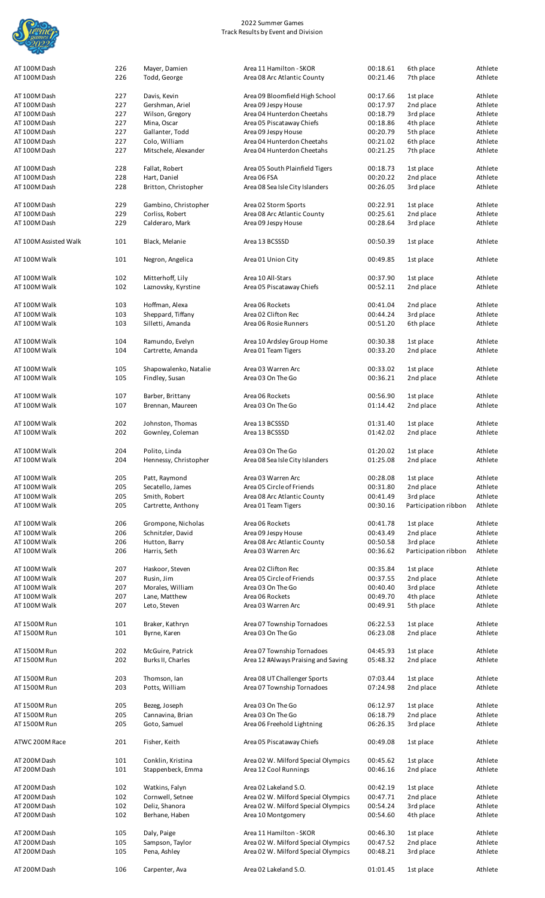

| AT 100M Dash          | 226<br>226 | Mayer, Damien<br>Todd, George | Area 11 Hamilton - SKOR<br>Area 08 Arc Atlantic County | 00:18.61<br>00:21.46 | 6th place<br>7th place | Athlete<br>Athlete |
|-----------------------|------------|-------------------------------|--------------------------------------------------------|----------------------|------------------------|--------------------|
|                       |            |                               |                                                        |                      |                        |                    |
| AT 100M Dash          | 227        | Davis, Kevin                  | Area 09 Bloomfield High School                         | 00:17.66             | 1st place              | Athlete            |
| AT 100M Dash          | 227        | Gershman, Ariel               | Area 09 Jespy House                                    | 00:17.97             | 2nd place              | Athlete            |
| AT 100M Dash          | 227        | Wilson, Gregory               | Area 04 Hunterdon Cheetahs                             | 00:18.79             | 3rd place              | Athlete            |
| AT 100M Dash          | 227        | Mina, Oscar                   | Area 05 Piscataway Chiefs                              | 00:18.86             | 4th place              | Athlete            |
| AT 100M Dash          | 227        | Gallanter, Todd               | Area 09 Jespy House                                    | 00:20.79             | 5th place              | Athlete            |
| AT 100M Dash          | 227        |                               | Area 04 Hunterdon Cheetahs                             |                      |                        | Athlete            |
|                       |            | Colo, William                 |                                                        | 00:21.02             | 6th place              |                    |
| AT 100M Dash          | 227        | Mitschele, Alexander          | Area 04 Hunterdon Cheetahs                             | 00:21.25             | 7th place              | Athlete            |
| AT 100M Dash          | 228        | Fallat, Robert                | Area 05 South Plainfield Tigers                        | 00:18.73             | 1st place              | Athlete            |
| AT 100M Dash          | 228        | Hart, Daniel                  | Area 06 FSA                                            | 00:20.22             | 2nd place              | Athlete            |
| AT 100M Dash          | 228        | Britton, Christopher          | Area 08 Sea Isle City Islanders                        | 00:26.05             | 3rd place              | Athlete            |
| AT 100M Dash          | 229        | Gambino, Christopher          | Area 02 Storm Sports                                   | 00:22.91             | 1st place              | Athlete            |
|                       |            |                               |                                                        |                      |                        |                    |
| AT 100M Dash          | 229        | Corliss, Robert               | Area 08 Arc Atlantic County                            | 00:25.61             | 2nd place              | Athlete            |
| AT 100M Dash          | 229        | Calderaro, Mark               | Area 09 Jespy House                                    | 00:28.64             | 3rd place              | Athlete            |
| AT 100M Assisted Walk | 101        | Black, Melanie                | Area 13 BCSSSD                                         | 00:50.39             | 1st place              | Athlete            |
|                       |            |                               |                                                        |                      |                        |                    |
| AT 100M Walk          | 101        | Negron, Angelica              | Area 01 Union City                                     | 00:49.85             | 1st place              | Athlete            |
| AT 100M Walk          | 102        | Mitterhoff, Lily              | Area 10 All-Stars                                      | 00:37.90             | 1st place              | Athlete            |
| AT 100M Walk          |            |                               |                                                        |                      |                        |                    |
|                       | 102        | Laznovsky, Kyrstine           | Area 05 Piscataway Chiefs                              | 00:52.11             | 2nd place              | Athlete            |
|                       |            |                               |                                                        |                      |                        |                    |
| AT 100M Walk          | 103        | Hoffman, Alexa                | Area 06 Rockets                                        | 00:41.04             | 2nd place              | Athlete            |
| AT 100M Walk          | 103        | Sheppard, Tiffany             | Area 02 Clifton Rec                                    | 00:44.24             | 3rd place              | Athlete            |
| AT 100M Walk          | 103        | Silletti, Amanda              | Area 06 Rosie Runners                                  | 00:51.20             | 6th place              | Athlete            |
|                       |            |                               |                                                        |                      |                        |                    |
| AT 100M Walk          | 104        | Ramundo, Evelyn               | Area 10 Ardsley Group Home                             | 00:30.38             | 1st place              | Athlete            |
|                       | 104        |                               |                                                        |                      |                        | Athlete            |
| AT 100M Walk          |            | Cartrette, Amanda             | Area 01 Team Tigers                                    | 00:33.20             | 2nd place              |                    |
|                       |            |                               |                                                        |                      |                        |                    |
| AT 100M Walk          | 105        | Shapowalenko, Natalie         | Area 03 Warren Arc                                     | 00:33.02             | 1st place              | Athlete            |
| AT 100M Walk          | 105        | Findley, Susan                | Area 03 On The Go                                      | 00:36.21             | 2nd place              | Athlete            |
|                       |            |                               |                                                        |                      |                        |                    |
| AT 100M Walk          | 107        | Barber, Brittany              | Area 06 Rockets                                        | 00:56.90             | 1st place              | Athlete            |
| AT 100M Walk          | 107        | Brennan, Maureen              | Area 03 On The Go                                      | 01:14.42             | 2nd place              | Athlete            |
|                       |            |                               |                                                        |                      |                        |                    |
|                       |            |                               |                                                        |                      |                        | Athlete            |
| AT 100M Walk          | 202        | Johnston, Thomas              | Area 13 BCSSSD                                         | 01:31.40             | 1st place              |                    |
| AT 100M Walk          | 202        | Gownley, Coleman              | Area 13 BCSSSD                                         | 01:42.02             | 2nd place              | Athlete            |
|                       |            |                               |                                                        |                      |                        |                    |
| AT 100M Walk          | 204        | Polito, Linda                 | Area 03 On The Go                                      | 01:20.02             | 1st place              | Athlete            |
| AT 100M Walk          | 204        | Hennessy, Christopher         | Area 08 Sea Isle City Islanders                        | 01:25.08             | 2nd place              | Athlete            |
|                       |            |                               |                                                        |                      |                        |                    |
| AT 100M Walk          | 205        | Patt, Raymond                 | Area 03 Warren Arc                                     | 00:28.08             | 1st place              | Athlete            |
| AT 100M Walk          | 205        | Secatello, James              | Area 05 Circle of Friends                              | 00:31.80             | 2nd place              | Athlete            |
|                       |            |                               |                                                        |                      |                        |                    |
|                       |            |                               |                                                        |                      |                        |                    |
| AT 100M Walk          | 205        | Smith, Robert                 | Area 08 Arc Atlantic County                            | 00:41.49             | 3rd place              | Athlete            |
| AT 100M Walk          | 205        | Cartrette, Anthony            | Area 01 Team Tigers                                    | 00:30.16             | Participation ribbon   | Athlete            |
|                       |            |                               |                                                        |                      |                        |                    |
| AT 100M Walk          | 206        | Grompone, Nicholas            | Area 06 Rockets                                        | 00:41.78             | 1st place              | Athlete            |
| AT 100M Walk          | 206        | Schnitzler, David             | Area 09 Jespy House                                    | 00:43.49             | 2nd place              | Athlete            |
|                       |            |                               |                                                        |                      |                        |                    |
| AT 100M Walk          | 206        | Hutton, Barry                 | Area 08 Arc Atlantic County                            | 00:50.58             | 3rd place              | Athlete            |
| AT 100M Walk          | 206        | Harris, Seth                  | Area 03 Warren Arc                                     | 00:36.62             | Participation ribbon   | Athlete            |
|                       |            |                               |                                                        |                      |                        |                    |
| AT 100M Walk          | 207        | Haskoor, Steven               | Area 02 Clifton Rec                                    | 00:35.84             | 1st place              | Athlete            |
| AT 100M Walk          | 207        | Rusin, Jim                    | Area 05 Circle of Friends                              | 00:37.55             | 2nd place              | Athlete            |
| AT 100M Walk          | 207        | Morales, William              | Area 03 On The Go                                      | 00:40.40             | 3rd place              | Athlete            |
| AT 100M Walk          | 207        |                               | Area 06 Rockets                                        | 00:49.70             |                        | Athlete            |
|                       |            | Lane, Matthew                 |                                                        |                      | 4th place              |                    |
| AT 100M Walk          | 207        | Leto, Steven                  | Area 03 Warren Arc                                     | 00:49.91             | 5th place              | Athlete            |
|                       |            |                               |                                                        |                      |                        |                    |
| AT 1500M Run          | 101        | Braker, Kathryn               | Area 07 Township Tornadoes                             | 06:22.53             | 1st place              | Athlete            |
| AT 1500M Run          | 101        | Byrne, Karen                  | Area 03 On The Go                                      | 06:23.08             | 2nd place              | Athlete            |
|                       |            |                               |                                                        |                      |                        |                    |
| AT 1500M Run          | 202        | McGuire, Patrick              | Area 07 Township Tornadoes                             | 04:45.93             | 1st place              | Athlete            |
| AT 1500M Run          | 202        | Burks II, Charles             | Area 12 #Always Praising and Saving                    | 05:48.32             | 2nd place              | Athlete            |
|                       |            |                               |                                                        |                      |                        |                    |
| AT 1500M Run          | 203        | Thomson, Ian                  | Area 08 UT Challenger Sports                           | 07:03.44             | 1st place              | Athlete            |
|                       |            |                               |                                                        |                      |                        | Athlete            |
| AT 1500M Run          | 203        | Potts, William                | Area 07 Township Tornadoes                             | 07:24.98             | 2nd place              |                    |
|                       |            |                               |                                                        |                      |                        |                    |
| AT 1500M Run          | 205        | Bezeg, Joseph                 | Area 03 On The Go                                      | 06:12.97             | 1st place              | Athlete            |
| AT 1500M Run          | 205        | Cannavina, Brian              | Area 03 On The Go                                      | 06:18.79             | 2nd place              | Athlete            |
| AT 1500M Run          | 205        | Goto, Samuel                  | Area 06 Freehold Lightning                             | 06:26.35             | 3rd place              | Athlete            |
|                       |            |                               |                                                        |                      |                        |                    |
| ATWC 200M Race        | 201        | Fisher, Keith                 | Area 05 Piscataway Chiefs                              | 00:49.08             | 1st place              | Athlete            |
|                       |            |                               |                                                        |                      |                        |                    |
| AT 200M Dash          | 101        | Conklin, Kristina             | Area 02 W. Milford Special Olympics                    | 00:45.62             | 1st place              | Athlete            |
| AT 200M Dash          | 101        | Stappenbeck, Emma             | Area 12 Cool Runnings                                  | 00:46.16             | 2nd place              | Athlete            |
|                       |            |                               |                                                        |                      |                        |                    |
|                       |            |                               |                                                        |                      |                        | Athlete            |
| AT 200M Dash          | 102        | Watkins, Falyn                | Area 02 Lakeland S.O.                                  | 00:42.19             | 1st place              |                    |
| AT 200M Dash          | 102        | Cornwell, Setnee              | Area 02 W. Milford Special Olympics                    | 00:47.71             | 2nd place              | Athlete            |
| AT 200M Dash          | 102        | Deliz, Shanora                | Area 02 W. Milford Special Olympics                    | 00:54.24             | 3rd place              | Athlete            |
| AT 200M Dash          | 102        | Berhane, Haben                | Area 10 Montgomery                                     | 00:54.60             | 4th place              | Athlete            |
|                       |            |                               |                                                        |                      |                        |                    |
| AT 200M Dash          | 105        | Daly, Paige                   | Area 11 Hamilton - SKOR                                | 00:46.30             | 1st place              | Athlete            |
| AT 200M Dash          | 105        | Sampson, Taylor               | Area 02 W. Milford Special Olympics                    | 00:47.52             | 2nd place              | Athlete            |
| AT 200M Dash          |            |                               |                                                        |                      |                        | Athlete            |
|                       | 105        | Pena, Ashley                  | Area 02 W. Milford Special Olympics                    | 00:48.21             | 3rd place              |                    |
| AT 200M Dash          | 106        | Carpenter, Ava                | Area 02 Lakeland S.O.                                  | 01:01.45             | 1st place              | Athlete            |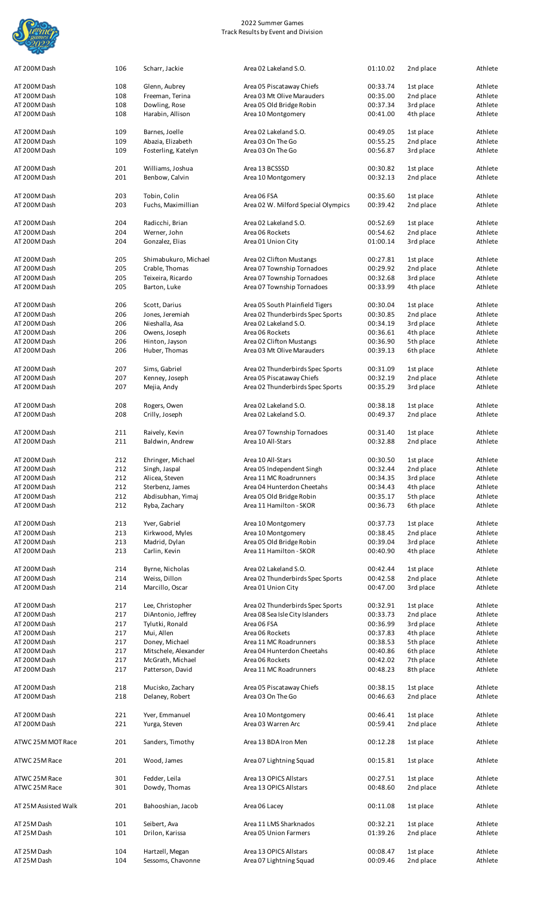

| AT 200M Dash         | 106 | Scharr, Jackie       | Area 02 Lakeland S.O.               | 01:10.02 | 2nd place | Athlete |
|----------------------|-----|----------------------|-------------------------------------|----------|-----------|---------|
| AT 200M Dash         | 108 | Glenn, Aubrey        | Area 05 Piscataway Chiefs           | 00:33.74 | 1st place | Athlete |
| AT 200M Dash         | 108 | Freeman, Terina      | Area 03 Mt Olive Marauders          | 00:35.00 | 2nd place | Athlete |
| AT 200M Dash         | 108 | Dowling, Rose        | Area 05 Old Bridge Robin            | 00:37.34 | 3rd place | Athlete |
| AT 200M Dash         | 108 | Harabin, Allison     | Area 10 Montgomery                  | 00:41.00 | 4th place | Athlete |
|                      |     |                      |                                     |          |           |         |
| AT 200M Dash         | 109 | Barnes, Joelle       | Area 02 Lakeland S.O.               | 00:49.05 | 1st place | Athlete |
| AT 200M Dash         | 109 | Abazia, Elizabeth    | Area 03 On The Go                   | 00:55.25 | 2nd place | Athlete |
| AT 200M Dash         | 109 | Fosterling, Katelyn  | Area 03 On The Go                   | 00:56.87 | 3rd place | Athlete |
|                      |     |                      |                                     |          |           |         |
| AT 200M Dash         | 201 | Williams, Joshua     | Area 13 BCSSSD                      | 00:30.82 | 1st place | Athlete |
| AT 200M Dash         | 201 | Benbow, Calvin       | Area 10 Montgomery                  | 00:32.13 | 2nd place | Athlete |
|                      |     |                      |                                     |          |           |         |
| AT 200M Dash         | 203 | Tobin, Colin         | Area 06 FSA                         | 00:35.60 | 1st place | Athlete |
| AT 200M Dash         | 203 | Fuchs, Maximillian   | Area 02 W. Milford Special Olympics | 00:39.42 | 2nd place | Athlete |
|                      |     |                      |                                     |          |           |         |
|                      |     |                      |                                     |          |           |         |
| AT 200M Dash         | 204 | Radicchi, Brian      | Area 02 Lakeland S.O.               | 00:52.69 | 1st place | Athlete |
| AT 200M Dash         | 204 | Werner, John         | Area 06 Rockets                     | 00:54.62 | 2nd place | Athlete |
| AT 200M Dash         | 204 | Gonzalez, Elias      | Area 01 Union City                  | 01:00.14 | 3rd place | Athlete |
|                      |     |                      |                                     |          |           |         |
| AT 200M Dash         | 205 | Shimabukuro, Michael | Area 02 Clifton Mustangs            | 00:27.81 | 1st place | Athlete |
| AT 200M Dash         | 205 | Crable, Thomas       | Area 07 Township Tornadoes          | 00:29.92 | 2nd place | Athlete |
| AT 200M Dash         | 205 | Teixeira, Ricardo    | Area 07 Township Tornadoes          | 00:32.68 | 3rd place | Athlete |
| AT 200M Dash         | 205 | Barton, Luke         | Area 07 Township Tornadoes          | 00:33.99 | 4th place | Athlete |
|                      |     |                      |                                     |          |           |         |
| AT 200M Dash         | 206 | Scott, Darius        | Area 05 South Plainfield Tigers     | 00:30.04 | 1st place | Athlete |
| AT 200M Dash         | 206 | Jones, Jeremiah      | Area 02 Thunderbirds Spec Sports    | 00:30.85 | 2nd place | Athlete |
| AT 200M Dash         | 206 | Nieshalla, Asa       | Area 02 Lakeland S.O.               | 00:34.19 | 3rd place | Athlete |
| AT 200M Dash         | 206 | Owens, Joseph        | Area 06 Rockets                     | 00:36.61 | 4th place | Athlete |
| AT 200M Dash         | 206 | Hinton, Jayson       | Area 02 Clifton Mustangs            | 00:36.90 | 5th place | Athlete |
| AT 200M Dash         | 206 | Huber, Thomas        | Area 03 Mt Olive Marauders          | 00:39.13 | 6th place | Athlete |
|                      |     |                      |                                     |          |           |         |
| AT 200M Dash         | 207 | Sims, Gabriel        | Area 02 Thunderbirds Spec Sports    | 00:31.09 | 1st place | Athlete |
| AT 200M Dash         | 207 | Kenney, Joseph       | Area 05 Piscataway Chiefs           | 00:32.19 | 2nd place | Athlete |
| AT 200M Dash         | 207 | Mejia, Andy          | Area 02 Thunderbirds Spec Sports    | 00:35.29 | 3rd place | Athlete |
|                      |     |                      |                                     |          |           |         |
| AT 200M Dash         | 208 | Rogers, Owen         | Area 02 Lakeland S.O.               | 00:38.18 | 1st place | Athlete |
| AT 200M Dash         | 208 | Crilly, Joseph       | Area 02 Lakeland S.O.               | 00:49.37 | 2nd place | Athlete |
|                      |     |                      |                                     |          |           |         |
| AT 200M Dash         | 211 | Raively, Kevin       | Area 07 Township Tornadoes          | 00:31.40 | 1st place | Athlete |
| AT 200M Dash         | 211 | Baldwin, Andrew      | Area 10 All-Stars                   | 00:32.88 | 2nd place | Athlete |
|                      |     |                      |                                     |          |           |         |
| AT 200M Dash         | 212 | Ehringer, Michael    | Area 10 All-Stars                   | 00:30.50 | 1st place | Athlete |
| AT 200M Dash         | 212 | Singh, Jaspal        | Area 05 Independent Singh           | 00:32.44 | 2nd place | Athlete |
| AT 200M Dash         | 212 | Alicea, Steven       | Area 11 MC Roadrunners              | 00:34.35 | 3rd place | Athlete |
| AT 200M Dash         | 212 | Sterbenz, James      | Area 04 Hunterdon Cheetahs          | 00:34.43 | 4th place | Athlete |
| AT 200M Dash         | 212 | Abdisubhan, Yimaj    | Area 05 Old Bridge Robin            | 00:35.17 | 5th place | Athlete |
| AT 200M Dash         | 212 | Ryba, Zachary        | Area 11 Hamilton - SKOR             | 00:36.73 | 6th place | Athlete |
|                      |     |                      |                                     |          |           |         |
|                      |     |                      |                                     |          |           | Athlete |
| AT 200M Dash         | 213 | Yver, Gabriel        | Area 10 Montgomery                  | 00:37.73 | 1st place |         |
| AT 200M Dash         | 213 | Kirkwood, Myles      | Area 10 Montgomery                  | 00:38.45 | 2nd place | Athlete |
| AT 200M Dash         | 213 | Madrid, Dylan        | Area 05 Old Bridge Robin            | 00:39.04 | 3rd place | Athlete |
| AT 200M Dash         | 213 | Carlin, Kevin        | Area 11 Hamilton - SKOR             | 00:40.90 | 4th place | Athlete |
|                      |     |                      |                                     |          |           |         |
| AT 200M Dash         | 214 | Byrne, Nicholas      | Area 02 Lakeland S.O.               | 00:42.44 | 1st place | Athlete |
| AT 200M Dash         | 214 | Weiss, Dillon        | Area 02 Thunderbirds Spec Sports    | 00:42.58 | 2nd place | Athlete |
| AT 200M Dash         | 214 | Marcillo, Oscar      | Area 01 Union City                  | 00:47.00 | 3rd place | Athlete |
|                      |     |                      |                                     |          |           |         |
| AT 200M Dash         | 217 | Lee, Christopher     | Area 02 Thunderbirds Spec Sports    | 00:32.91 | 1st place | Athlete |
| AT 200M Dash         | 217 | DiAntonio, Jeffrey   | Area 08 Sea Isle City Islanders     | 00:33.73 | 2nd place | Athlete |
| AT 200M Dash         | 217 | Tylutki, Ronald      | Area 06 FSA                         | 00:36.99 | 3rd place | Athlete |
| AT 200M Dash         | 217 | Mui, Allen           | Area 06 Rockets                     | 00:37.83 | 4th place | Athlete |
| AT 200M Dash         | 217 | Doney, Michael       | Area 11 MC Roadrunners              | 00:38.53 | 5th place | Athlete |
| AT 200M Dash         | 217 | Mitschele, Alexander | Area 04 Hunterdon Cheetahs          | 00:40.86 | 6th place | Athlete |
| AT 200M Dash         | 217 | McGrath, Michael     | Area 06 Rockets                     | 00:42.02 | 7th place | Athlete |
| AT 200M Dash         | 217 | Patterson, David     | Area 11 MC Roadrunners              | 00:48.23 | 8th place | Athlete |
|                      |     |                      |                                     |          |           |         |
| AT 200M Dash         | 218 | Mucisko, Zachary     | Area 05 Piscataway Chiefs           | 00:38.15 | 1st place | Athlete |
| AT 200M Dash         | 218 | Delaney, Robert      | Area 03 On The Go                   | 00:46.63 | 2nd place | Athlete |
|                      |     |                      |                                     |          |           |         |
| AT 200M Dash         | 221 | Yver, Emmanuel       | Area 10 Montgomery                  | 00:46.41 | 1st place | Athlete |
| AT 200M Dash         | 221 | Yurga, Steven        | Area 03 Warren Arc                  | 00:59.41 | 2nd place | Athlete |
|                      |     |                      |                                     |          |           |         |
| ATWC 25M MOT Race    | 201 | Sanders, Timothy     | Area 13 BDA Iron Men                | 00:12.28 | 1st place | Athlete |
|                      |     |                      |                                     |          |           |         |
| ATWC 25M Race        | 201 | Wood, James          | Area 07 Lightning Squad             | 00:15.81 | 1st place | Athlete |
|                      |     |                      |                                     |          |           |         |
| ATWC 25M Race        | 301 | Fedder, Leila        | Area 13 OPICS Allstars              | 00:27.51 | 1st place | Athlete |
| ATWC 25M Race        | 301 | Dowdy, Thomas        | Area 13 OPICS Allstars              | 00:48.60 | 2nd place | Athlete |
|                      |     |                      |                                     |          |           |         |
| AT 25M Assisted Walk | 201 | Bahooshian, Jacob    | Area 06 Lacey                       | 00:11.08 | 1st place | Athlete |
|                      |     |                      |                                     |          |           |         |
| AT 25M Dash          | 101 | Seibert, Ava         | Area 11 LMS Sharknados              | 00:32.21 | 1st place | Athlete |
| AT 25M Dash          | 101 | Drilon, Karissa      | Area 05 Union Farmers               | 01:39.26 | 2nd place | Athlete |
|                      |     |                      |                                     |          |           |         |
| AT 25M Dash          | 104 | Hartzell, Megan      | Area 13 OPICS Allstars              | 00:08.47 | 1st place | Athlete |
| AT 25M Dash          | 104 | Sessoms, Chavonne    | Area 07 Lightning Squad             | 00:09.46 | 2nd place | Athlete |
|                      |     |                      |                                     |          |           |         |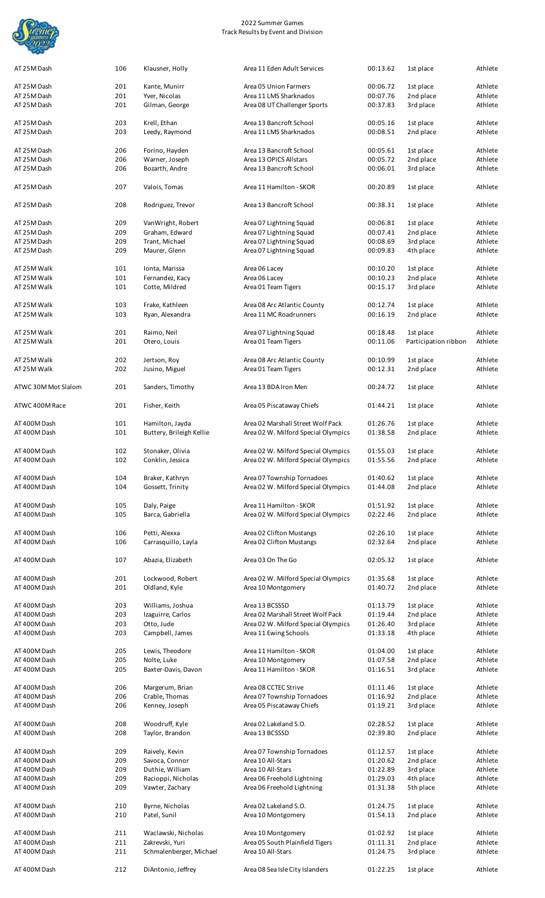

| AT 25M Dash                  | 106        | Klausner, Holly                       | Area 11 Eden Adult Services                         | 00:13.62             | 1st place              | Athlete |
|------------------------------|------------|---------------------------------------|-----------------------------------------------------|----------------------|------------------------|---------|
| AT 25M Dash                  | 201        | Kante, Munirr                         | Area 05 Union Farmers                               | 00:06.72             | 1st place              | Athlete |
| AT 25M Dash                  | 201        | Yver, Nicolas                         | Area 11 LMS Sharknados                              | 00:07.76             | 2nd place              | Athlete |
| AT 25M Dash                  | 201        | Gilman, George                        | Area 08 UT Challenger Sports                        | 00:37.83             | 3rd place              | Athlete |
|                              |            |                                       |                                                     |                      |                        |         |
| AT 25M Dash                  | 203        | Krell, Ethan                          | Area 13 Bancroft School                             | 00:05.16             | 1st place              | Athlete |
| AT 25M Dash                  | 203        | Leedy, Raymond                        | Area 11 LMS Sharknados                              | 00:08.51             | 2nd place              | Athlete |
|                              |            |                                       |                                                     |                      |                        |         |
| AT 25M Dash                  | 206        | Forino, Hayden                        | Area 13 Bancroft School                             | 00:05.61             | 1st place              | Athlete |
| AT 25M Dash                  | 206        | Warner, Joseph                        | Area 13 OPICS Allstars                              | 00:05.72             | 2nd place              | Athlete |
| AT 25M Dash                  | 206        | Bozarth, Andre                        | Area 13 Bancroft School                             | 00:06.01             | 3rd place              | Athlete |
|                              |            |                                       |                                                     |                      |                        |         |
| AT 25M Dash                  | 207        | Valois, Tomas                         | Area 11 Hamilton - SKOR                             | 00:20.89             | 1st place              | Athlete |
|                              |            |                                       |                                                     |                      |                        |         |
| AT 25M Dash                  | 208        | Rodriguez, Trevor                     | Area 13 Bancroft School                             | 00:38.31             | 1st place              | Athlete |
| AT 25M Dash                  | 209        | VanWright, Robert                     | Area 07 Lightning Squad                             | 00:06.81             | 1st place              | Athlete |
| AT 25M Dash                  | 209        | Graham, Edward                        | Area 07 Lightning Squad                             | 00:07.41             | 2nd place              | Athlete |
| AT 25M Dash                  | 209        | Trant, Michael                        | Area 07 Lightning Squad                             | 00:08.69             | 3rd place              | Athlete |
| AT 25M Dash                  | 209        | Maurer, Glenn                         | Area 07 Lightning Squad                             | 00:09.83             | 4th place              | Athlete |
|                              |            |                                       |                                                     |                      |                        |         |
| AT 25M Walk                  | 101        | Ionta, Marissa                        | Area 06 Lacey                                       | 00:10.20             | 1st place              | Athlete |
| AT 25M Walk                  | 101        | Fernandez, Kacy                       | Area 06 Lacey                                       | 00:10.23             | 2nd place              | Athlete |
| AT 25M Walk                  | 101        | Cotte, Mildred                        | Area 01 Team Tigers                                 | 00:15.17             | 3rd place              | Athlete |
|                              |            |                                       |                                                     |                      |                        |         |
| AT 25M Walk                  | 103        | Frake, Kathleen                       | Area 08 Arc Atlantic County                         | 00:12.74             | 1st place              | Athlete |
| AT 25M Walk                  | 103        | Ryan, Alexandra                       | Area 11 MC Roadrunners                              | 00:16.19             | 2nd place              | Athlete |
|                              |            |                                       |                                                     |                      |                        |         |
| AT 25M Walk                  | 201        | Raimo, Neil                           | Area 07 Lightning Squad                             | 00:18.48             | 1st place              | Athlete |
| AT 25M Walk                  | 201        | Otero, Louis                          | Area 01 Team Tigers                                 | 00:11.06             | Participation ribbon   | Athlete |
|                              |            |                                       |                                                     |                      |                        |         |
| AT 25M Walk                  | 202        | Jertson, Roy                          | Area 08 Arc Atlantic County                         | 00:10.99             | 1st place              | Athlete |
| AT 25M Walk                  | 202        | Jusino, Miguel                        | Area 01 Team Tigers                                 | 00:12.31             | 2nd place              | Athlete |
| ATWC 30M Mot Slalom          | 201        |                                       | Area 13 BDA Iron Men                                | 00:24.72             |                        | Athlete |
|                              |            | Sanders, Timothy                      |                                                     |                      | 1st place              |         |
| ATWC 400M Race               | 201        | Fisher, Keith                         | Area 05 Piscataway Chiefs                           | 01:44.21             | 1st place              | Athlete |
|                              |            |                                       |                                                     |                      |                        |         |
| AT 400M Dash                 | 101        | Hamilton, Jayda                       | Area 02 Marshall Street Wolf Pack                   | 01:26.76             | 1st place              | Athlete |
| AT 400M Dash                 | 101        | Buttery, Brileigh Kellie              | Area 02 W. Milford Special Olympics                 | 01:38.58             | 2nd place              | Athlete |
|                              |            |                                       |                                                     |                      |                        |         |
| AT 400M Dash                 | 102        | Stonaker, Olivia                      | Area 02 W. Milford Special Olympics                 | 01:55.03             | 1st place              | Athlete |
| AT 400M Dash                 | 102        | Conklin, Jessica                      | Area 02 W. Milford Special Olympics                 | 01:55.56             | 2nd place              | Athlete |
|                              |            |                                       |                                                     |                      |                        |         |
| AT 400M Dash                 | 104        | Braker, Kathryn                       | Area 07 Township Tornadoes                          | 01:40.62             | 1st place              | Athlete |
| AT 400M Dash                 | 104        | Gossett, Trinity                      | Area 02 W. Milford Special Olympics                 | 01:44.08             | 2nd place              | Athlete |
|                              |            |                                       |                                                     |                      |                        |         |
| AT 400M Dash                 | 105        | Daly, Paige                           | Area 11 Hamilton - SKOR                             | 01:51.92             | 1st place              | Athlete |
| AT 400M Dash                 | 105        | Barca, Gabriella                      | Area 02 W. Milford Special Olympics                 | 02:22.46             | 2nd place              | Athlete |
|                              |            |                                       |                                                     |                      |                        |         |
| AT 400M Dash                 | 106        | Petti, Alexxa                         | Area 02 Clifton Mustangs                            | 02:26.10             | 1st place              | Athlete |
| AT 400M Dash                 | 106        | Carrasquillo, Layla                   | Area 02 Clifton Mustangs                            | 02:32.64             | 2nd place              | Athlete |
|                              |            |                                       |                                                     |                      |                        |         |
| AT 400M Dash                 | 107        | Abazia, Elizabeth                     | Area 03 On The Go                                   | 02:05.32             | 1st place              | Athlete |
|                              |            |                                       |                                                     |                      |                        |         |
| AT 400M Dash                 | 201        | Lockwood, Robert                      | Area 02 W. Milford Special Olympics                 | 01:35.68             | 1st place              | Athlete |
| AT 400M Dash                 | 201        | Oldland, Kyle                         | Area 10 Montgomery                                  | 01:40.72             | 2nd place              | Athlete |
|                              |            |                                       |                                                     |                      |                        | Athlete |
| AT 400M Dash<br>AT 400M Dash | 203<br>203 | Williams, Joshua<br>Izaguirre, Carlos | Area 13 BCSSSD<br>Area 02 Marshall Street Wolf Pack | 01:13.79<br>01:19.44 | 1st place<br>2nd place | Athlete |
| AT 400M Dash                 | 203        | Otto, Jude                            | Area 02 W. Milford Special Olympics                 | 01:26.40             | 3rd place              | Athlete |
| AT 400M Dash                 | 203        | Campbell, James                       | Area 11 Ewing Schools                               | 01:33.18             | 4th place              | Athlete |
|                              |            |                                       |                                                     |                      |                        |         |
| AT 400M Dash                 | 205        | Lewis, Theodore                       | Area 11 Hamilton - SKOR                             | 01:04.00             | 1st place              | Athlete |
| AT 400M Dash                 | 205        | Nolte, Luke                           | Area 10 Montgomery                                  | 01:07.58             | 2nd place              | Athlete |
| AT 400M Dash                 | 205        | Baxter-Davis, Davon                   | Area 11 Hamilton - SKOR                             | 01:16.51             | 3rd place              | Athlete |
|                              |            |                                       |                                                     |                      |                        |         |
| AT 400M Dash                 | 206        | Margerum, Brian                       | Area 08 CCTEC Strive                                | 01:11.46             | 1st place              | Athlete |
| AT 400M Dash                 | 206        | Crable, Thomas                        | Area 07 Township Tornadoes                          | 01:16.92             | 2nd place              | Athlete |
| AT 400M Dash                 | 206        | Kenney, Joseph                        | Area 05 Piscataway Chiefs                           | 01:19.21             | 3rd place              | Athlete |
|                              |            |                                       |                                                     |                      |                        |         |
| AT 400M Dash                 | 208        | Woodruff, Kyle                        | Area 02 Lakeland S.O.                               | 02:28.52             | 1st place              | Athlete |
| AT 400M Dash                 | 208        | Taylor, Brandon                       | Area 13 BCSSSD                                      | 02:39.80             | 2nd place              | Athlete |
|                              |            |                                       |                                                     |                      |                        |         |
| AT 400M Dash                 | 209        | Raively, Kevin                        | Area 07 Township Tornadoes                          | 01:12.57             | 1st place              | Athlete |
| AT 400M Dash                 | 209        | Savoca, Connor                        | Area 10 All-Stars                                   | 01:20.62             | 2nd place              | Athlete |
| AT 400M Dash                 | 209        | Duthie, William                       | Area 10 All-Stars                                   | 01:22.89             | 3rd place              | Athlete |
| AT 400M Dash                 | 209        | Racioppi, Nicholas                    | Area 06 Freehold Lightning                          | 01:29.03             | 4th place              | Athlete |
| AT 400M Dash                 | 209        | Vawter, Zachary                       | Area 06 Freehold Lightning                          | 01:31.38             | 5th place              | Athlete |
|                              |            |                                       |                                                     |                      |                        |         |
| AT 400M Dash                 | 210        | Byrne, Nicholas                       | Area 02 Lakeland S.O.                               | 01:24.75             | 1st place              | Athlete |
| AT 400M Dash                 | 210        | Patel, Sunil                          | Area 10 Montgomery                                  | 01:54.13             | 2nd place              | Athlete |
| AT 400M Dash                 | 211        | Waclawski, Nicholas                   | Area 10 Montgomery                                  | 01:02.92             | 1st place              | Athlete |
| AT 400M Dash                 | 211        | Zakrevski, Yuri                       | Area 05 South Plainfield Tigers                     | 01:11.31             | 2nd place              | Athlete |
| AT 400M Dash                 | 211        | Schmalenberger, Michael               | Area 10 All-Stars                                   | 01:24.75             | 3rd place              | Athlete |
|                              |            |                                       |                                                     |                      |                        |         |
|                              |            |                                       | Area 08 Sea Isle City Islanders                     | 01:22.25             | 1st place              | Athlete |
| AT 400M Dash                 | 212        | DiAntonio, Jeffrey                    |                                                     |                      |                        |         |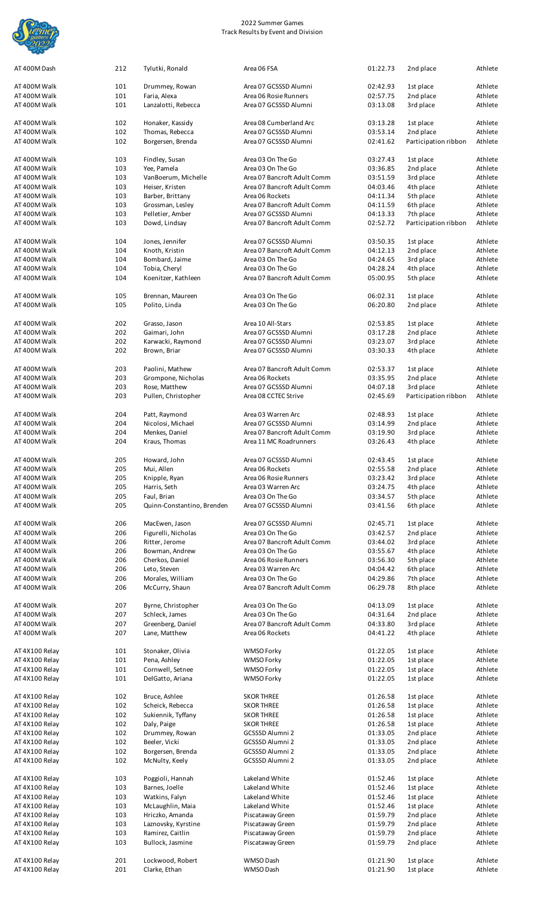

| AT 400M Dash   | 212 | Tylutki, Ronald            | Area 06 FSA                 | 01:22.73 | 2nd place            | Athlete |
|----------------|-----|----------------------------|-----------------------------|----------|----------------------|---------|
| AT 400M Walk   | 101 | Drummey, Rowan             | Area 07 GCSSSD Alumni       | 02:42.93 | 1st place            | Athlete |
|                | 101 | Faria, Alexa               | Area 06 Rosie Runners       | 02:57.75 | 2nd place            |         |
| AT 400M Walk   |     |                            |                             |          |                      | Athlete |
| AT 400M Walk   | 101 | Lanzalotti, Rebecca        | Area 07 GCSSSD Alumni       | 03:13.08 | 3rd place            | Athlete |
|                |     |                            |                             |          |                      |         |
| AT 400M Walk   | 102 | Honaker, Kassidy           | Area 08 Cumberland Arc      | 03:13.28 | 1st place            | Athlete |
| AT 400M Walk   | 102 | Thomas, Rebecca            | Area 07 GCSSSD Alumni       | 03:53.14 | 2nd place            | Athlete |
| AT 400M Walk   | 102 | Borgersen, Brenda          | Area 07 GCSSSD Alumni       | 02:41.62 | Participation ribbon | Athlete |
|                |     |                            |                             |          |                      |         |
| AT 400M Walk   | 103 | Findley, Susan             | Area 03 On The Go           | 03:27.43 | 1st place            | Athlete |
| AT 400M Walk   | 103 | Yee, Pamela                | Area 03 On The Go           | 03:36.85 | 2nd place            | Athlete |
| AT 400M Walk   | 103 | VanBoerum, Michelle        | Area 07 Bancroft Adult Comm | 03:51.59 | 3rd place            | Athlete |
| AT 400M Walk   | 103 | Heiser, Kristen            | Area 07 Bancroft Adult Comm | 04:03.46 | 4th place            | Athlete |
| AT 400M Walk   | 103 | Barber, Brittany           | Area 06 Rockets             | 04:11.34 | 5th place            | Athlete |
| AT 400M Walk   | 103 | Grossman, Lesley           | Area 07 Bancroft Adult Comm | 04:11.59 | 6th place            | Athlete |
| AT 400M Walk   | 103 | Pelletier, Amber           | Area 07 GCSSSD Alumni       | 04:13.33 | 7th place            | Athlete |
|                |     |                            |                             |          |                      |         |
| AT 400M Walk   | 103 | Dowd, Lindsay              | Area 07 Bancroft Adult Comm | 02:52.72 | Participation ribbon | Athlete |
|                |     |                            |                             |          |                      | Athlete |
| AT 400M Walk   | 104 | Jones, Jennifer            | Area 07 GCSSSD Alumni       | 03:50.35 | 1st place            |         |
| AT 400M Walk   | 104 | Knoth, Kristin             | Area 07 Bancroft Adult Comm | 04:12.13 | 2nd place            | Athlete |
| AT 400M Walk   | 104 | Bombard, Jaime             | Area 03 On The Go           | 04:24.65 | 3rd place            | Athlete |
| AT 400M Walk   | 104 | Tobia, Cheryl              | Area 03 On The Go           | 04:28.24 | 4th place            | Athlete |
| AT 400M Walk   | 104 | Koenitzer, Kathleen        | Area 07 Bancroft Adult Comm | 05:00.95 | 5th place            | Athlete |
|                |     |                            |                             |          |                      |         |
| AT 400M Walk   | 105 | Brennan, Maureen           | Area 03 On The Go           | 06:02.31 | 1st place            | Athlete |
| AT 400M Walk   | 105 | Polito, Linda              | Area 03 On The Go           | 06:20.80 | 2nd place            | Athlete |
|                |     |                            |                             |          |                      |         |
| AT 400M Walk   | 202 | Grasso, Jason              | Area 10 All-Stars           | 02:53.85 | 1st place            | Athlete |
| AT 400M Walk   | 202 | Gaimari, John              | Area 07 GCSSSD Alumni       | 03:17.28 | 2nd place            | Athlete |
| AT 400M Walk   | 202 | Karwacki, Raymond          | Area 07 GCSSSD Alumni       | 03:23.07 | 3rd place            | Athlete |
| AT 400M Walk   | 202 | Brown, Briar               | Area 07 GCSSSD Alumni       | 03:30.33 | 4th place            | Athlete |
|                |     |                            |                             |          |                      |         |
| AT 400M Walk   | 203 | Paolini, Mathew            | Area 07 Bancroft Adult Comm | 02:53.37 | 1st place            | Athlete |
| AT 400M Walk   | 203 | Grompone, Nicholas         | Area 06 Rockets             | 03:35.95 | 2nd place            | Athlete |
|                |     |                            |                             |          |                      | Athlete |
| AT 400M Walk   | 203 | Rose, Matthew              | Area 07 GCSSSD Alumni       | 04:07.18 | 3rd place            |         |
| AT 400M Walk   | 203 | Pullen, Christopher        | Area 08 CCTEC Strive        | 02:45.69 | Participation ribbon | Athlete |
|                |     |                            |                             |          |                      |         |
| AT 400M Walk   | 204 | Patt, Raymond              | Area 03 Warren Arc          | 02:48.93 | 1st place            | Athlete |
| AT 400M Walk   | 204 | Nicolosi, Michael          | Area 07 GCSSSD Alumni       | 03:14.99 | 2nd place            | Athlete |
| AT 400M Walk   | 204 | Menkes, Daniel             | Area 07 Bancroft Adult Comm | 03:19.90 | 3rd place            | Athlete |
| AT 400M Walk   | 204 | Kraus, Thomas              | Area 11 MC Roadrunners      | 03:26.43 | 4th place            | Athlete |
|                |     |                            |                             |          |                      |         |
| AT 400M Walk   | 205 | Howard, John               | Area 07 GCSSSD Alumni       | 02:43.45 | 1st place            | Athlete |
| AT 400M Walk   | 205 | Mui, Allen                 | Area 06 Rockets             | 02:55.58 | 2nd place            | Athlete |
| AT 400M Walk   | 205 | Knipple, Ryan              | Area 06 Rosie Runners       | 03:23.42 | 3rd place            | Athlete |
| AT 400M Walk   | 205 | Harris, Seth               | Area 03 Warren Arc          | 03:24.75 | 4th place            | Athlete |
| AT 400M Walk   | 205 | Faul, Brian                | Area 03 On The Go           | 03:34.57 | 5th place            | Athlete |
| AT 400M Walk   | 205 | Quinn-Constantino, Brenden | Area 07 GCSSSD Alumni       | 03:41.56 | 6th place            | Athlete |
|                |     |                            |                             |          |                      |         |
| AT 400M Walk   | 206 | MacEwen, Jason             | Area 07 GCSSSD Alumni       | 02:45.71 | 1st place            | Athlete |
| AT 400M Walk   | 206 | Figurelli, Nicholas        | Area 03 On The Go           | 03:42.57 | 2nd place            | Athlete |
|                | 206 |                            |                             |          |                      |         |
| AT 400M Walk   |     | Ritter, Jerome             | Area 07 Bancroft Adult Comm | 03:44.02 | 3rd place            | Athlete |
| AT 400M Walk   | 206 | Bowman, Andrew             | Area 03 On The Go           | 03:55.67 | 4th place            | Athlete |
| AT 400M Walk   | 206 | Cherkos, Daniel            | Area 06 Rosie Runners       | 03:56.30 | 5th place            | Athlete |
| AT 400M Walk   | 206 | Leto, Steven               | Area 03 Warren Arc          | 04:04.42 | 6th place            | Athlete |
| AT 400M Walk   | 206 | Morales, William           | Area 03 On The Go           | 04:29.86 | 7th place            | Athlete |
| AT 400M Walk   | 206 | McCurry, Shaun             | Area 07 Bancroft Adult Comm | 06:29.78 | 8th place            | Athlete |
|                |     |                            |                             |          |                      |         |
| AT 400M Walk   | 207 | Byrne, Christopher         | Area 03 On The Go           | 04:13.09 | 1st place            | Athlete |
| AT 400M Walk   | 207 | Schleck, James             | Area 03 On The Go           | 04:31.64 | 2nd place            | Athlete |
| AT 400M Walk   | 207 | Greenberg, Daniel          | Area 07 Bancroft Adult Comm | 04:33.80 | 3rd place            | Athlete |
| AT 400M Walk   | 207 | Lane, Matthew              | Area 06 Rockets             | 04:41.22 | 4th place            | Athlete |
|                |     |                            |                             |          |                      |         |
| AT 4X100 Relay | 101 | Stonaker, Olivia           | WMSO Forky                  | 01:22.05 | 1st place            | Athlete |
| AT 4X100 Relay | 101 | Pena, Ashley               | WMSO Forky                  | 01:22.05 | 1st place            | Athlete |
|                |     |                            |                             |          |                      |         |
| AT 4X100 Relay | 101 | Cornwell, Setnee           | WMSO Forky                  | 01:22.05 | 1st place            | Athlete |
| AT 4X100 Relay | 101 | Del Gatto, Ariana          | WMSO Forky                  | 01:22.05 | 1st place            | Athlete |
|                |     |                            |                             |          |                      |         |
| AT 4X100 Relay | 102 | Bruce, Ashlee              | <b>SKOR THREE</b>           | 01:26.58 | 1st place            | Athlete |
| AT 4X100 Relay | 102 | Scheick, Rebecca           | <b>SKOR THREE</b>           | 01:26.58 | 1st place            | Athlete |
| AT 4X100 Relay | 102 | Sukiennik, Tyffany         | <b>SKOR THREE</b>           | 01:26.58 | 1st place            | Athlete |
| AT 4X100 Relay | 102 | Daly, Paige                | <b>SKOR THREE</b>           | 01:26.58 | 1st place            | Athlete |
| AT 4X100 Relay | 102 | Drummey, Rowan             | GCSSSD Alumni 2             | 01:33.05 | 2nd place            | Athlete |
| AT 4X100 Relay | 102 | Beeler, Vicki              | GCSSSD Alumni 2             | 01:33.05 | 2nd place            | Athlete |
| AT 4X100 Relay | 102 | Borgersen, Brenda          | GCSSSD Alumni 2             | 01:33.05 | 2nd place            | Athlete |
| AT 4X100 Relay | 102 | McNulty, Keely             | GCSSSD Alumni 2             | 01:33.05 | 2nd place            | Athlete |
|                |     |                            |                             |          |                      |         |
| AT 4X100 Relay | 103 | Poggioli, Hannah           | Lakeland White              | 01:52.46 | 1st place            | Athlete |
|                |     |                            |                             |          |                      |         |
| AT 4X100 Relay | 103 | Barnes, Joelle             | Lakeland White              | 01:52.46 | 1st place            | Athlete |
| AT 4X100 Relay | 103 | Watkins, Falyn             | Lakeland White              | 01:52.46 | 1st place            | Athlete |
| AT 4X100 Relay | 103 | McLaughlin, Maia           | Lakeland White              | 01:52.46 | 1st place            | Athlete |
| AT 4X100 Relay | 103 | Hriczko, Amanda            | Piscataway Green            | 01:59.79 | 2nd place            | Athlete |
| AT 4X100 Relay | 103 | Laznovsky, Kyrstine        | Piscataway Green            | 01:59.79 | 2nd place            | Athlete |
| AT 4X100 Relay | 103 | Ramirez, Caitlin           | Piscataway Green            | 01:59.79 | 2nd place            | Athlete |
| AT 4X100 Relay | 103 | Bullock, Jasmine           | Piscataway Green            | 01:59.79 | 2nd place            | Athlete |
|                |     |                            |                             |          |                      |         |
| AT 4X100 Relay | 201 | Lockwood, Robert           | WMSO Dash                   | 01:21.90 | 1st place            | Athlete |
| AT 4X100 Relay | 201 | Clarke, Ethan              | WMSO Dash                   | 01:21.90 | 1st place            | Athlete |
|                |     |                            |                             |          |                      |         |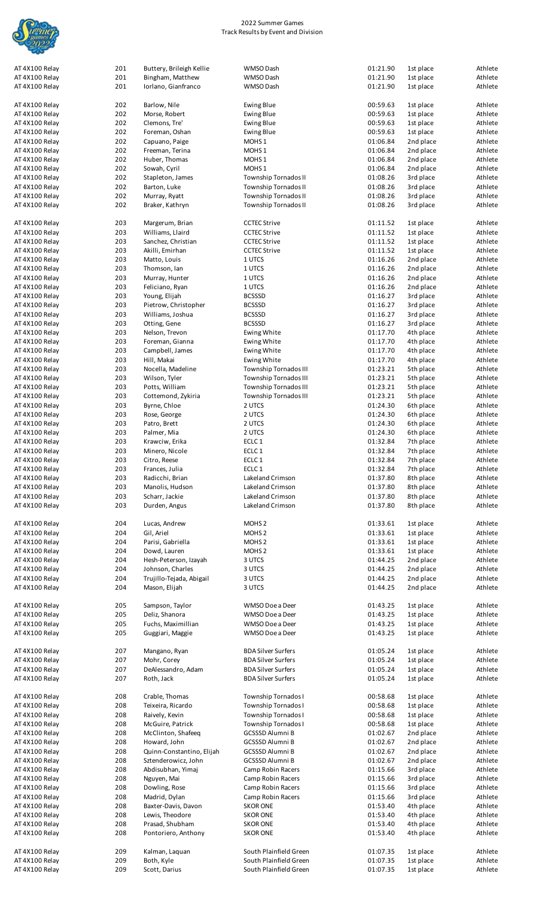

| AT 4X100 Relay | 201 | Buttery, Brileigh Kellie  | WMSO Dash                 | 01:21.90 | 1st place | Athlete |
|----------------|-----|---------------------------|---------------------------|----------|-----------|---------|
| AT 4X100 Relay | 201 |                           | WMSO Dash                 | 01:21.90 |           | Athlete |
|                |     | Bingham, Matthew          |                           |          | 1st place |         |
| AT 4X100 Relay | 201 | Iorlano, Gianfranco       | WMSO Dash                 | 01:21.90 | 1st place | Athlete |
|                |     |                           |                           |          |           |         |
| AT 4X100 Relay | 202 | Barlow, Nile              | Ewing Blue                | 00:59.63 | 1st place | Athlete |
| AT 4X100 Relay | 202 | Morse, Robert             | Ewing Blue                | 00:59.63 | 1st place | Athlete |
| AT 4X100 Relay | 202 | Clemons, Tre'             | Ewing Blue                | 00:59.63 | 1st place | Athlete |
| AT 4X100 Relay | 202 | Foreman, Oshan            | Ewing Blue                | 00:59.63 | 1st place | Athlete |
| AT 4X100 Relay | 202 | Capuano, Paige            | MOHS <sub>1</sub>         | 01:06.84 | 2nd place | Athlete |
|                | 202 |                           | MOHS <sub>1</sub>         | 01:06.84 |           |         |
| AT 4X100 Relay |     | Freeman, Terina           |                           |          | 2nd place | Athlete |
| AT 4X100 Relay | 202 | Huber, Thomas             | MOHS <sub>1</sub>         | 01:06.84 | 2nd place | Athlete |
| AT 4X100 Relay | 202 | Sowah, Cyril              | MOHS <sub>1</sub>         | 01:06.84 | 2nd place | Athlete |
| AT 4X100 Relay | 202 | Stapleton, James          | Township Tornados II      | 01:08.26 | 3rd place | Athlete |
| AT 4X100 Relay | 202 | Barton, Luke              | Township Tornados II      | 01:08.26 | 3rd place | Athlete |
| AT 4X100 Relay | 202 | Murray, Ryatt             | Township Tornados II      | 01:08.26 | 3rd place | Athlete |
| AT 4X100 Relay | 202 | Braker, Kathryn           | Township Tornados II      | 01:08.26 | 3rd place | Athlete |
|                |     |                           |                           |          |           |         |
|                |     |                           |                           |          |           |         |
| AT 4X100 Relay | 203 | Margerum, Brian           | <b>CCTEC Strive</b>       | 01:11.52 | 1st place | Athlete |
| AT 4X100 Relay | 203 | Williams, Llaird          | <b>CCTEC Strive</b>       | 01:11.52 | 1st place | Athlete |
| AT 4X100 Relay | 203 | Sanchez, Christian        | <b>CCTEC Strive</b>       | 01:11.52 | 1st place | Athlete |
| AT 4X100 Relay | 203 | Akilli, Emirhan           | <b>CCTEC Strive</b>       | 01:11.52 | 1st place | Athlete |
| AT 4X100 Relay | 203 | Matto, Louis              | 1 UTCS                    | 01:16.26 | 2nd place | Athlete |
| AT 4X100 Relay | 203 | Thomson, Ian              | 1 UTCS                    | 01:16.26 | 2nd place | Athlete |
|                |     |                           |                           |          |           |         |
| AT 4X100 Relay | 203 | Murray, Hunter            | 1 UTCS                    | 01:16.26 | 2nd place | Athlete |
| AT 4X100 Relay | 203 | Feliciano, Ryan           | 1 UTCS                    | 01:16.26 | 2nd place | Athlete |
| AT 4X100 Relay | 203 | Young, Elijah             | <b>BCSSSD</b>             | 01:16.27 | 3rd place | Athlete |
| AT 4X100 Relay | 203 | Pietrow, Christopher      | <b>BCSSSD</b>             | 01:16.27 | 3rd place | Athlete |
| AT 4X100 Relay | 203 | Williams, Joshua          | <b>BCSSSD</b>             | 01:16.27 | 3rd place | Athlete |
| AT 4X100 Relay | 203 | Otting, Gene              | <b>BCSSSD</b>             | 01:16.27 | 3rd place | Athlete |
| AT 4X100 Relay | 203 | Nelson, Trevon            | Ewing White               | 01:17.70 | 4th place | Athlete |
|                |     |                           |                           |          |           |         |
| AT 4X100 Relay | 203 | Foreman, Gianna           | Ewing White               | 01:17.70 | 4th place | Athlete |
| AT 4X100 Relay | 203 | Campbell, James           | Ewing White               | 01:17.70 | 4th place | Athlete |
| AT 4X100 Relay | 203 | Hill, Makai               | Ewing White               | 01:17.70 | 4th place | Athlete |
| AT 4X100 Relay | 203 | Nocella, Madeline         | Township Tornados III     | 01:23.21 | 5th place | Athlete |
| AT 4X100 Relay | 203 | Wilson, Tyler             | Township Tornados III     | 01:23.21 | 5th place | Athlete |
| AT 4X100 Relay | 203 | Potts, William            | Township Tornados III     | 01:23.21 | 5th place | Athlete |
| AT 4X100 Relay | 203 | Cottemond, Zykiria        | Township Tornados III     | 01:23.21 | 5th place | Athlete |
|                |     |                           |                           |          |           |         |
| AT 4X100 Relay | 203 | Byrne, Chloe              | 2 UTCS                    | 01:24.30 | 6th place | Athlete |
| AT 4X100 Relay | 203 | Rose, George              | 2 UTCS                    | 01:24.30 | 6th place | Athlete |
| AT 4X100 Relay | 203 | Patro, Brett              | 2 UTCS                    | 01:24.30 | 6th place | Athlete |
| AT 4X100 Relay | 203 | Palmer, Mia               | 2 UTCS                    | 01:24.30 | 6th place | Athlete |
| AT 4X100 Relay | 203 | Krawciw, Erika            | ECLC 1                    | 01:32.84 | 7th place | Athlete |
| AT 4X100 Relay | 203 | Minero, Nicole            | ECLC <sub>1</sub>         | 01:32.84 | 7th place | Athlete |
| AT 4X100 Relay | 203 | Citro, Reese              | ECLC <sub>1</sub>         | 01:32.84 | 7th place | Athlete |
|                |     |                           |                           |          |           |         |
| AT 4X100 Relay | 203 | Frances, Julia            | ECLC <sub>1</sub>         | 01:32.84 | 7th place | Athlete |
| AT 4X100 Relay | 203 | Radicchi, Brian           | Lakeland Crimson          | 01:37.80 | 8th place | Athlete |
| AT 4X100 Relay | 203 | Manolis, Hudson           | Lakeland Crimson          | 01:37.80 | 8th place | Athlete |
| AT 4X100 Relay | 203 | Scharr, Jackie            | Lakeland Crimson          | 01:37.80 | 8th place | Athlete |
| AT 4X100 Relay | 203 | Durden, Angus             | Lakeland Crimson          | 01:37.80 | 8th place | Athlete |
|                |     |                           |                           |          |           |         |
|                |     |                           |                           |          |           |         |
| AT 4X100 Relay | 204 | Lucas, Andrew             | MOHS <sub>2</sub>         | 01:33.61 | 1st place | Athlete |
| AT 4X100 Relay | 204 | Gil, Ariel                | MOHS <sub>2</sub>         | 01:33.61 | 1st place | Athlete |
| AT 4X100 Relay | 204 | Parisi, Gabriella         | MOHS <sub>2</sub>         | 01:33.61 | 1st place | Athlete |
| AT 4X100 Relay | 204 | Dowd, Lauren              | MOHS <sub>2</sub>         | 01:33.61 | 1st place | Athlete |
| AT 4X100 Relay | 204 | Hesh-Peterson, Izayah     | 3 UTCS                    | 01:44.25 | 2nd place | Athlete |
| AT 4X100 Relay | 204 | Johnson, Charles          | 3 UTCS                    | 01:44.25 | 2nd place | Athlete |
| AT 4X100 Relay | 204 | Trujillo-Tejada, Abigail  | 3 UTCS                    | 01:44.25 | 2nd place | Athlete |
|                |     |                           |                           |          |           |         |
| AT 4X100 Relay | 204 | Mason, Elijah             | 3 UTCS                    | 01:44.25 | 2nd place | Athlete |
|                |     |                           |                           |          |           |         |
| AT 4X100 Relay | 205 | Sampson, Taylor           | WMSO Doe a Deer           | 01:43.25 | 1st place | Athlete |
| AT 4X100 Relay | 205 | Deliz, Shanora            | WMSO Doe a Deer           | 01:43.25 | 1st place | Athlete |
| AT 4X100 Relay | 205 | Fuchs, Maximillian        | WMSO Doe a Deer           | 01:43.25 | 1st place | Athlete |
| AT 4X100 Relay | 205 | Guggiari, Maggie          | WMSO Doe a Deer           | 01:43.25 | 1st place | Athlete |
|                |     |                           |                           |          |           |         |
|                |     |                           |                           |          |           |         |
| AT 4X100 Relay | 207 | Mangano, Ryan             | <b>BDA Silver Surfers</b> | 01:05.24 | 1st place | Athlete |
| AT 4X100 Relay | 207 | Mohr, Corey               | <b>BDA Silver Surfers</b> | 01:05.24 | 1st place | Athlete |
| AT 4X100 Relay | 207 | DeAlessandro, Adam        | <b>BDA Silver Surfers</b> | 01:05.24 | 1st place | Athlete |
| AT 4X100 Relay | 207 | Roth, Jack                | <b>BDA Silver Surfers</b> | 01:05.24 | 1st place | Athlete |
|                |     |                           |                           |          |           |         |
| AT 4X100 Relay | 208 | Crable, Thomas            | Township Tornados I       | 00:58.68 | 1st place | Athlete |
|                | 208 | Teixeira, Ricardo         | Township Tornados I       | 00:58.68 |           |         |
| AT 4X100 Relay |     |                           |                           |          | 1st place | Athlete |
| AT 4X100 Relay | 208 | Raively, Kevin            | Township Tornados I       | 00:58.68 | 1st place | Athlete |
| AT 4X100 Relay | 208 | McGuire, Patrick          | Township Tornados I       | 00:58.68 | 1st place | Athlete |
| AT 4X100 Relay | 208 | McClinton, Shafeeq        | <b>GCSSSD Alumni B</b>    | 01:02.67 | 2nd place | Athlete |
| AT 4X100 Relay | 208 | Howard, John              | <b>GCSSSD Alumni B</b>    | 01:02.67 | 2nd place | Athlete |
| AT 4X100 Relay | 208 | Quinn-Constantino, Elijah | <b>GCSSSD Alumni B</b>    | 01:02.67 | 2nd place | Athlete |
| AT 4X100 Relay | 208 | Sztenderowicz, John       | <b>GCSSSD Alumni B</b>    | 01:02.67 | 2nd place | Athlete |
|                |     |                           |                           |          |           |         |
| AT 4X100 Relay | 208 | Abdisubhan, Yimaj         | Camp Robin Racers         | 01:15.66 | 3rd place | Athlete |
| AT 4X100 Relay | 208 | Nguyen, Mai               | Camp Robin Racers         | 01:15.66 | 3rd place | Athlete |
| AT 4X100 Relay | 208 | Dowling, Rose             | Camp Robin Racers         | 01:15.66 | 3rd place | Athlete |
| AT 4X100 Relay | 208 | Madrid, Dylan             | Camp Robin Racers         | 01:15.66 | 3rd place | Athlete |
| AT 4X100 Relay | 208 | Baxter-Davis, Davon       | <b>SKOR ONE</b>           | 01:53.40 | 4th place | Athlete |
| AT 4X100 Relay | 208 | Lewis, Theodore           | <b>SKOR ONE</b>           | 01:53.40 | 4th place | Athlete |
|                |     |                           |                           |          |           |         |
| AT 4X100 Relay | 208 | Prasad, Shubham           | <b>SKOR ONE</b>           | 01:53.40 | 4th place | Athlete |
| AT 4X100 Relay | 208 | Pontoriero, Anthony       | <b>SKOR ONE</b>           | 01:53.40 | 4th place | Athlete |
|                |     |                           |                           |          |           |         |
| AT 4X100 Relay | 209 | Kalman, Laquan            | South Plainfield Green    | 01:07.35 | 1st place | Athlete |
| AT 4X100 Relay | 209 | Both, Kyle                | South Plainfield Green    | 01:07.35 | 1st place | Athlete |
| AT 4X100 Relay | 209 | Scott, Darius             | South Plainfield Green    | 01:07.35 | 1st place | Athlete |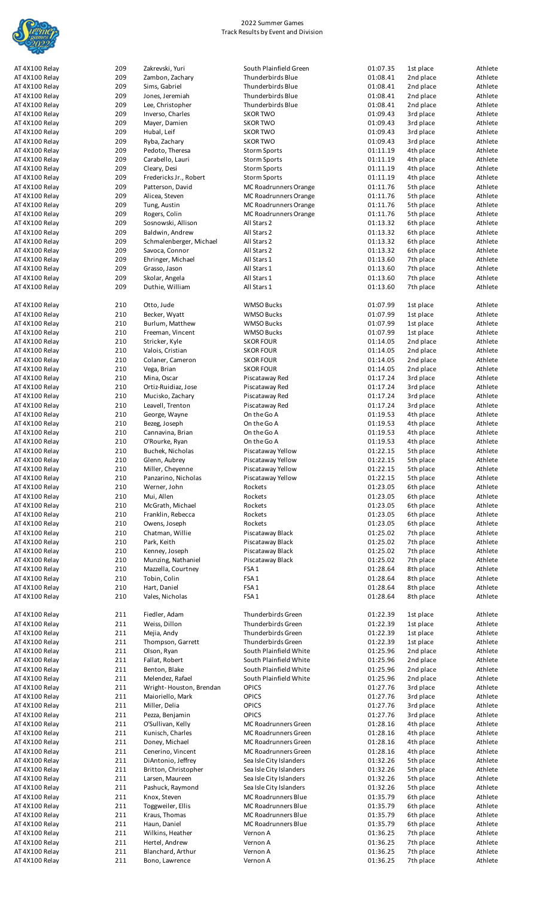

| AT 4X100 Relay                   | 209        | Zakrevski, Yuri                     | South Plainfield Green  | 01:07.35             | 1st place              | Athlete            |
|----------------------------------|------------|-------------------------------------|-------------------------|----------------------|------------------------|--------------------|
| AT 4X100 Relay                   | 209        | Zambon, Zachary                     | Thunderbirds Blue       | 01:08.41             | 2nd place              | Athlete            |
| AT 4X100 Relay                   | 209        | Sims, Gabriel                       | Thunderbirds Blue       | 01:08.41             | 2nd place              | Athlete            |
| AT 4X100 Relay                   | 209        | Jones, Jeremiah                     | Thunderbirds Blue       | 01:08.41             | 2nd place              | Athlete            |
| AT 4X100 Relay                   | 209        | Lee, Christopher                    | Thunderbirds Blue       | 01:08.41             | 2nd place              | Athlete            |
| AT 4X100 Relay                   | 209        | Inverso, Charles                    | <b>SKOR TWO</b>         | 01:09.43             | 3rd place              | Athlete            |
| AT 4X100 Relay                   | 209        | Mayer, Damien                       | <b>SKOR TWO</b>         | 01:09.43             | 3rd place              | Athlete            |
| AT 4X100 Relay                   | 209        | Hubal, Leif                         | <b>SKOR TWO</b>         | 01:09.43             | 3rd place              | Athlete            |
| AT 4X100 Relay                   | 209        | Ryba, Zachary                       | <b>SKOR TWO</b>         | 01:09.43             | 3rd place              | Athlete            |
| AT 4X100 Relay                   | 209        | Pedoto, Theresa                     | <b>Storm Sports</b>     | 01:11.19             | 4th place              | Athlete            |
|                                  |            |                                     |                         |                      | 4th place              |                    |
| AT 4X100 Relay                   | 209        | Carabello, Lauri                    | <b>Storm Sports</b>     | 01:11.19             |                        | Athlete            |
| AT 4X100 Relay                   | 209        | Cleary, Desi                        | <b>Storm Sports</b>     | 01:11.19             | 4th place              | Athlete            |
| AT 4X100 Relay                   | 209        | Fredericks Jr., Robert              | <b>Storm Sports</b>     | 01:11.19             | 4th place              | Athlete            |
| AT 4X100 Relay                   | 209        | Patterson, David                    | MC Roadrunners Orange   | 01:11.76             | 5th place              | Athlete            |
| AT 4X100 Relay                   | 209        | Alicea, Steven                      | MC Roadrunners Orange   | 01:11.76             | 5th place              | Athlete            |
| AT 4X100 Relay                   | 209        | Tung, Austin                        | MC Roadrunners Orange   | 01:11.76             | 5th place              | Athlete            |
| AT 4X100 Relay                   | 209        | Rogers, Colin                       | MC Roadrunners Orange   | 01:11.76             | 5th place              | Athlete            |
| AT 4X100 Relay                   | 209        | Sosnowski, Allison                  | All Stars 2             | 01:13.32             | 6th place              | Athlete            |
| AT 4X100 Relay                   | 209        | Baldwin, Andrew                     | All Stars 2             | 01:13.32             | 6th place              | Athlete            |
| AT 4X100 Relay                   | 209        | Schmalenberger, Michael             | All Stars 2             | 01:13.32             | 6th place              | Athlete            |
| AT 4X100 Relay                   | 209        | Savoca, Connor                      | All Stars 2             | 01:13.32             | 6th place              | Athlete            |
| AT 4X100 Relay                   | 209        | Ehringer, Michael                   | All Stars 1             | 01:13.60             | 7th place              | Athlete            |
| AT 4X100 Relay                   | 209        | Grasso, Jason                       | All Stars 1             | 01:13.60             | 7th place              | Athlete            |
| AT 4X100 Relay                   | 209        | Skolar, Angela                      | All Stars 1             | 01:13.60             | 7th place              | Athlete            |
| AT 4X100 Relay                   | 209        | Duthie, William                     | All Stars 1             | 01:13.60             | 7th place              | Athlete            |
|                                  |            |                                     |                         |                      |                        |                    |
| AT 4X100 Relay                   | 210        | Otto, Jude                          | <b>WMSO Bucks</b>       | 01:07.99             | 1st place              | Athlete            |
| AT 4X100 Relay                   | 210        | Becker, Wyatt                       | <b>WMSO Bucks</b>       | 01:07.99             | 1st place              | Athlete            |
| AT 4X100 Relay                   | 210        | Burlum, Matthew                     | <b>WMSO Bucks</b>       | 01:07.99             | 1st place              | Athlete            |
| AT 4X100 Relay                   | 210        | Freeman, Vincent                    | <b>WMSO Bucks</b>       | 01:07.99             | 1st place              | Athlete            |
|                                  |            |                                     |                         |                      |                        |                    |
| AT 4X100 Relay                   | 210        | Stricker, Kyle                      | <b>SKOR FOUR</b>        | 01:14.05             | 2nd place              | Athlete            |
| AT 4X100 Relay                   | 210        | Valois, Cristian                    | <b>SKOR FOUR</b>        | 01:14.05             | 2nd place              | Athlete            |
| AT 4X100 Relay                   | 210        | Colaner, Cameron                    | <b>SKOR FOUR</b>        | 01:14.05             | 2nd place              | Athlete            |
| AT 4X100 Relay                   | 210        | Vega, Brian                         | <b>SKOR FOUR</b>        | 01:14.05             | 2nd place              | Athlete            |
| AT 4X100 Relay                   | 210        | Mina, Oscar                         | Piscataway Red          | 01:17.24             | 3rd place              | Athlete            |
| AT 4X100 Relay                   | 210        | Ortiz-Ruidiaz, Jose                 | Piscataway Red          | 01:17.24             | 3rd place              | Athlete            |
| AT 4X100 Relay                   | 210        | Mucisko, Zachary                    | Piscataway Red          | 01:17.24             | 3rd place              | Athlete            |
| AT 4X100 Relay                   | 210        | Leavell, Trenton                    | Piscataway Red          | 01:17.24             | 3rd place              | Athlete            |
| AT 4X100 Relay                   | 210        | George, Wayne                       | On the Go A             | 01:19.53             | 4th place              | Athlete            |
| AT 4X100 Relay                   | 210        | Bezeg, Joseph                       | On the Go A             | 01:19.53             | 4th place              | Athlete            |
| AT 4X100 Relay                   | 210        | Cannavina, Brian                    | On the Go A             | 01:19.53             | 4th place              | Athlete            |
| AT 4X100 Relay                   | 210        | O'Rourke, Ryan                      | On the Go A             | 01:19.53             | 4th place              | Athlete            |
| AT 4X100 Relay                   |            |                                     |                         |                      |                        |                    |
|                                  | 210        | Buchek, Nicholas                    | Piscataway Yellow       | 01:22.15             | 5th place              | Athlete            |
| AT 4X100 Relay                   | 210        | Glenn, Aubrey                       | Piscataway Yellow       | 01:22.15             | 5th place              | Athlete            |
| AT 4X100 Relay                   | 210        | Miller, Cheyenne                    | Piscataway Yellow       | 01:22.15             | 5th place              | Athlete            |
| AT 4X100 Relay                   | 210        | Panzarino, Nicholas                 | Piscataway Yellow       | 01:22.15             | 5th place              | Athlete            |
| AT 4X100 Relay                   | 210        | Werner, John                        | Rockets                 | 01:23.05             | 6th place              | Athlete            |
| AT 4X100 Relay                   | 210        | Mui, Allen                          | Rockets                 | 01:23.05             | 6th place              | Athlete            |
| AT 4X100 Relay                   | 210        | McGrath, Michael                    | Rockets                 | 01:23.05             | 6th place              | Athlete            |
| AT 4X100 Relay                   | 210        | Franklin, Rebecca                   | Rockets                 | 01:23.05             | 6th place              | Athlete            |
| AT 4X100 Relay                   | 210        | Owens, Joseph                       | Rockets                 | 01:23.05             | 6th place              | Athlete            |
| AT 4X100 Relay                   | 210        | Chatman, Willie                     | Piscataway Black        | 01:25.02             | 7th place              | Athlete            |
| AT 4X100 Relay                   | 210        | Park, Keith                         | Piscataway Black        | 01:25.02             | 7th place              | Athlete            |
| AT 4X100 Relay                   | 210        | Kenney, Joseph                      | Piscataway Black        | 01:25.02             | 7th place              | Athlete            |
|                                  |            |                                     |                         |                      |                        |                    |
| AT 4X100 Relay                   | 210        | Munzing, Nathaniel                  | Piscataway Black        | 01:25.02             | 7th place              | Athlete            |
| AT 4X100 Relay                   | 210        | Mazzella, Courtney                  | FSA <sub>1</sub>        | 01:28.64             | 8th place              | Athlete            |
| AT 4X100 Relay                   | 210        | Tobin, Colin                        | FSA <sub>1</sub>        | 01:28.64             | 8th place              | Athlete            |
| AT 4X100 Relay                   | 210        | Hart, Daniel                        | FSA <sub>1</sub>        | 01:28.64             | 8th place              | Athlete            |
| AT 4X100 Relay                   | 210        | Vales, Nicholas                     | FSA <sub>1</sub>        | 01:28.64             | 8th place              | Athlete            |
|                                  |            |                                     |                         |                      |                        |                    |
| AT 4X100 Relay                   | 211        | Fiedler, Adam                       | Thunderbirds Green      | 01:22.39             | 1st place              | Athlete            |
| AT 4X100 Relay                   | 211        | Weiss, Dillon                       | Thunderbirds Green      | 01:22.39             | 1st place              | Athlete            |
| AT 4X100 Relay                   | 211        | Mejia, Andy                         | Thunderbirds Green      | 01:22.39             | 1st place              | Athlete            |
| AT 4X100 Relay                   | 211        | Thompson, Garrett                   | Thunderbirds Green      | 01:22.39             | 1st place              | Athlete            |
| AT 4X100 Relay                   | 211        | Olson, Ryan                         | South Plainfield White  | 01:25.96             | 2nd place              | Athlete            |
| AT 4X100 Relay                   | 211        | Fallat, Robert                      | South Plainfield White  | 01:25.96             | 2nd place              | Athlete            |
| AT 4X100 Relay                   | 211        | Benton, Blake                       | South Plainfield White  | 01:25.96             | 2nd place              | Athlete            |
| AT 4X100 Relay                   | 211        | Melendez, Rafael                    | South Plainfield White  | 01:25.96             | 2nd place              | Athlete            |
| AT 4X100 Relay                   | 211        | Wright-Houston, Brendan             | OPICS                   | 01:27.76             | 3rd place              | Athlete            |
| AT 4X100 Relay                   | 211        | Maioriello, Mark                    | <b>OPICS</b>            | 01:27.76             | 3rd place              | Athlete            |
| AT 4X100 Relay                   | 211        | Miller, Delia                       | <b>OPICS</b>            | 01:27.76             | 3rd place              | Athlete            |
|                                  |            |                                     | <b>OPICS</b>            | 01:27.76             |                        |                    |
| AT 4X100 Relay                   | 211        | Pezza, Benjamin                     |                         |                      | 3rd place              | Athlete            |
| AT 4X100 Relay                   | 211        | O'Sullivan, Kelly                   | MC Roadrunners Green    | 01:28.16             | 4th place              | Athlete            |
| AT 4X100 Relay                   | 211        | Kunisch, Charles                    | MC Roadrunners Green    | 01:28.16             | 4th place              | Athlete            |
| AT 4X100 Relay                   | 211        | Doney, Michael                      | MC Roadrunners Green    | 01:28.16             | 4th place              | Athlete            |
| AT 4X100 Relay                   | 211        | Cenerino, Vincent                   | MC Roadrunners Green    | 01:28.16             | 4th place              | Athlete            |
| AT 4X100 Relay                   | 211        | DiAntonio, Jeffrey                  | Sea Isle City Islanders | 01:32.26             | 5th place              | Athlete            |
| AT 4X100 Relay                   |            | Britton, Christopher                | Sea Isle City Islanders | 01:32.26             | 5th place              | Athlete            |
| AT 4X100 Relay                   | 211        |                                     |                         |                      |                        |                    |
| AT 4X100 Relay                   | 211        | Larsen, Maureen                     | Sea Isle City Islanders | 01:32.26             | 5th place              | Athlete            |
|                                  | 211        | Pashuck, Raymond                    | Sea Isle City Islanders | 01:32.26             | 5th place              | Athlete            |
| AT 4X100 Relay                   | 211        | Knox, Steven                        | MC Roadrunners Blue     | 01:35.79             | 6th place              | Athlete            |
|                                  |            |                                     |                         |                      |                        |                    |
| AT 4X100 Relay                   | 211        | Toggweiler, Ellis                   | MC Roadrunners Blue     | 01:35.79             | 6th place              | Athlete            |
| AT 4X100 Relay                   | 211        | Kraus, Thomas                       | MC Roadrunners Blue     | 01:35.79             | 6th place              | Athlete            |
| AT 4X100 Relay                   | 211        | Haun, Daniel                        | MC Roadrunners Blue     | 01:35.79             | 6th place              | Athlete            |
| AT 4X100 Relay                   | 211        | Wilkins, Heather                    | Vernon A                | 01:36.25             | 7th place              | Athlete            |
| AT 4X100 Relay                   | 211        | Hertel, Andrew                      | Vernon A                | 01:36.25             | 7th place              | Athlete            |
| AT 4X100 Relay<br>AT 4X100 Relay | 211<br>211 | Blanchard, Arthur<br>Bono, Lawrence | Vernon A<br>Vernon A    | 01:36.25<br>01:36.25 | 7th place<br>7th place | Athlete<br>Athlete |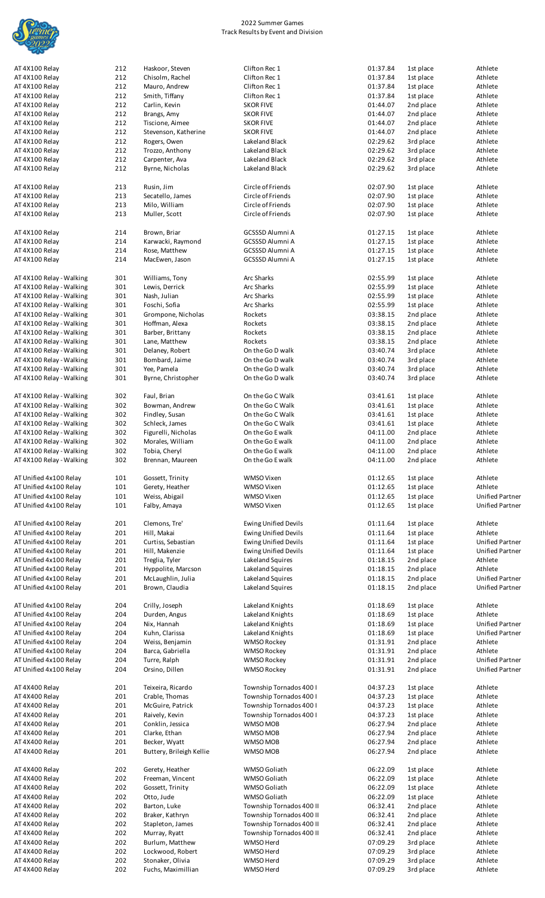

| AT 4X100 Relay<br>AT 4X100 Relay | 212        | Haskoor, Steven                        |                             |                      |                        | Athlete                |
|----------------------------------|------------|----------------------------------------|-----------------------------|----------------------|------------------------|------------------------|
|                                  |            |                                        | Clifton Rec 1               | 01:37.84             | 1st place              |                        |
|                                  | 212        | Chisolm, Rachel                        | Clifton Rec 1               | 01:37.84             | 1st place              | Athlete                |
|                                  |            |                                        |                             |                      |                        |                        |
| AT 4X100 Relay                   | 212        | Mauro, Andrew                          | Clifton Rec 1               | 01:37.84             | 1st place              | Athlete                |
| AT 4X100 Relay                   | 212        | Smith, Tiffany                         | Clifton Rec 1               | 01:37.84             | 1st place              | Athlete                |
| AT 4X100 Relay                   | 212        | Carlin, Kevin                          | <b>SKOR FIVE</b>            | 01:44.07             | 2nd place              | Athlete                |
|                                  |            |                                        |                             |                      |                        |                        |
| AT 4X100 Relay                   | 212        | Brangs, Amy                            | <b>SKOR FIVE</b>            | 01:44.07             | 2nd place              | Athlete                |
| AT 4X100 Relay                   | 212        | Tiscione, Aimee                        | <b>SKOR FIVE</b>            | 01:44.07             | 2nd place              | Athlete                |
|                                  |            |                                        |                             |                      |                        |                        |
| AT 4X100 Relay                   | 212        | Stevenson, Katherine                   | <b>SKOR FIVE</b>            | 01:44.07             | 2nd place              | Athlete                |
| AT 4X100 Relay                   | 212        | Rogers, Owen                           | Lakeland Black              | 02:29.62             | 3rd place              | Athlete                |
|                                  | 212        |                                        | Lakeland Black              | 02:29.62             |                        | Athlete                |
| AT 4X100 Relay                   |            | Trozzo, Anthony                        |                             |                      | 3rd place              |                        |
| AT 4X100 Relay                   | 212        | Carpenter, Ava                         | Lakeland Black              | 02:29.62             | 3rd place              | Athlete                |
| AT 4X100 Relay                   | 212        | Byrne, Nicholas                        | Lakeland Black              | 02:29.62             | 3rd place              | Athlete                |
|                                  |            |                                        |                             |                      |                        |                        |
|                                  |            |                                        |                             |                      |                        |                        |
| AT 4X100 Relay                   | 213        | Rusin, Jim                             | Circle of Friends           | 02:07.90             | 1st place              | Athlete                |
| AT 4X100 Relay                   | 213        | Secatello, James                       | Circle of Friends           | 02:07.90             | 1st place              | Athlete                |
|                                  |            |                                        |                             |                      |                        |                        |
| AT 4X100 Relay                   | 213        | Milo, William                          | Circle of Friends           | 02:07.90             | 1st place              | Athlete                |
| AT 4X100 Relay                   | 213        | Muller, Scott                          | Circle of Friends           | 02:07.90             | 1st place              | Athlete                |
|                                  |            |                                        |                             |                      |                        |                        |
|                                  |            |                                        |                             |                      |                        |                        |
| AT 4X100 Relay                   | 214        | Brown, Briar                           | GCSSSD Alumni A             | 01:27.15             | 1st place              | Athlete                |
| AT 4X100 Relay                   | 214        | Karwacki, Raymond                      | <b>GCSSSD Alumni A</b>      | 01:27.15             | 1st place              | Athlete                |
|                                  |            |                                        |                             |                      |                        |                        |
| AT 4X100 Relay                   | 214        | Rose, Matthew                          | <b>GCSSSD Alumni A</b>      | 01:27.15             | 1st place              | Athlete                |
| AT 4X100 Relay                   | 214        | MacEwen, Jason                         | <b>GCSSSD Alumni A</b>      | 01:27.15             | 1st place              | Athlete                |
|                                  |            |                                        |                             |                      |                        |                        |
|                                  |            |                                        |                             |                      |                        |                        |
| AT 4X100 Relay - Walking         | 301        | Williams, Tony                         | Arc Sharks                  | 02:55.99             | 1st place              | Athlete                |
| AT 4X100 Relay - Walking         | 301        | Lewis, Derrick                         | Arc Sharks                  | 02:55.99             | 1st place              | Athlete                |
|                                  |            |                                        |                             |                      |                        |                        |
| AT 4X100 Relay - Walking         | 301        | Nash, Julian                           | Arc Sharks                  | 02:55.99             | 1st place              | Athlete                |
| AT 4X100 Relay - Walking         | 301        | Foschi, Sofia                          | Arc Sharks                  | 02:55.99             | 1st place              | Athlete                |
| AT 4X100 Relay - Walking         | 301        | Grompone, Nicholas                     | Rockets                     | 03:38.15             | 2nd place              | Athlete                |
|                                  |            |                                        |                             |                      |                        |                        |
| AT 4X100 Relay - Walking         | 301        | Hoffman, Alexa                         | Rockets                     | 03:38.15             | 2nd place              | Athlete                |
| AT 4X100 Relay - Walking         | 301        | Barber, Brittany                       | Rockets                     | 03:38.15             | 2nd place              | Athlete                |
|                                  |            |                                        |                             |                      |                        |                        |
| AT 4X100 Relay - Walking         | 301        | Lane, Matthew                          | Rockets                     | 03:38.15             | 2nd place              | Athlete                |
| AT 4X100 Relay - Walking         | 301        | Delaney, Robert                        | On the Go D walk            | 03:40.74             | 3rd place              | Athlete                |
|                                  |            |                                        |                             |                      |                        |                        |
| AT 4X100 Relay - Walking         | 301        | Bombard, Jaime                         | On the Go D walk            | 03:40.74             | 3rd place              | Athlete                |
| AT 4X100 Relay - Walking         | 301        | Yee, Pamela                            | On the Go D walk            | 03:40.74             | 3rd place              | Athlete                |
|                                  | 301        | Byrne, Christopher                     | On the Go D walk            | 03:40.74             | 3rd place              | Athlete                |
| AT 4X100 Relay - Walking         |            |                                        |                             |                      |                        |                        |
|                                  |            |                                        |                             |                      |                        |                        |
| AT 4X100 Relay - Walking         | 302        | Faul, Brian                            | On the Go C Walk            | 03:41.61             | 1st place              | Athlete                |
|                                  |            |                                        |                             |                      |                        |                        |
| AT 4X100 Relay - Walking         | 302        | Bowman, Andrew                         | On the Go C Walk            | 03:41.61             | 1st place              | Athlete                |
| AT 4X100 Relay - Walking         | 302        | Findley, Susan                         | On the Go C Walk            | 03:41.61             | 1st place              | Athlete                |
|                                  |            |                                        |                             |                      |                        |                        |
| AT 4X100 Relay - Walking         | 302        | Schleck, James                         | On the Go C Walk            | 03:41.61             | 1st place              | Athlete                |
| AT 4X100 Relay - Walking         | 302        | Figurelli, Nicholas                    | On the Go E walk            | 04:11.00             | 2nd place              | Athlete                |
| AT 4X100 Relay - Walking         | 302        | Morales, William                       | On the Go E walk            | 04:11.00             | 2nd place              | Athlete                |
|                                  |            |                                        |                             |                      |                        |                        |
| AT 4X100 Relay - Walking         | 302        | Tobia, Cheryl                          | On the Go E walk            | 04:11.00             | 2nd place              | Athlete                |
| AT 4X100 Relay - Walking         | 302        | Brennan, Maureen                       | On the Go E walk            | 04:11.00             | 2nd place              | Athlete                |
|                                  |            |                                        |                             |                      |                        |                        |
|                                  |            |                                        |                             |                      |                        |                        |
| AT Unified 4x100 Relay           | 101        | Gossett, Trinity                       | WMSO Vixen                  | 01:12.65             | 1st place              | Athlete                |
| AT Unified 4x100 Relay           | 101        | Gerety, Heather                        | WMSO Vixen                  | 01:12.65             | 1st place              | Athlete                |
|                                  |            |                                        |                             |                      |                        |                        |
| AT Unified 4x100 Relay           | 101        | Weiss, Abigail                         | WMSO Vixen                  | 01:12.65             | 1st place              | <b>Unified Partner</b> |
| AT Unified 4x100 Relay           | 101        | Falby, Amaya                           | WMSO Vixen                  | 01:12.65             | 1st place              | <b>Unified Partner</b> |
|                                  |            |                                        |                             |                      |                        |                        |
|                                  |            |                                        |                             |                      |                        |                        |
| AT Unified 4x100 Relay           | 201        | Clemons, Tre'                          | <b>Ewing Unified Devils</b> | 01:11.64             | 1st place              | Athlete                |
| AT Unified 4x100 Relay           | 201        | Hill, Makai                            | <b>Ewing Unified Devils</b> | 01:11.64             | 1st place              | Athlete                |
|                                  |            |                                        |                             |                      |                        |                        |
| AT Unified 4x100 Relay           | 201        | Curtiss, Sebastian                     | <b>Ewing Unified Devils</b> | 01:11.64             | 1st place              | <b>Unified Partner</b> |
|                                  |            | Hill, Makenzie                         | <b>Ewing Unified Devils</b> | 01:11.64             | 1st place              | <b>Unified Partner</b> |
|                                  |            |                                        |                             |                      |                        |                        |
| AT Unified 4x100 Relay           | 201        |                                        |                             |                      | 2nd place              |                        |
| AT Unified 4x100 Relay           | 201        | Treglia, Tyler                         | Lakeland Squires            | 01:18.15             |                        | Athlete                |
|                                  |            |                                        |                             |                      |                        |                        |
| AT Unified 4x100 Relay           | 201        | Hyppolite, Marcson                     | Lakeland Squires            | 01:18.15             | 2nd place              | Athlete                |
| AT Unified 4x100 Relay           | 201        | McLaughlin, Julia                      | Lakeland Squires            | 01:18.15             | 2nd place              | <b>Unified Partner</b> |
| AT Unified 4x100 Relay           | 201        | Brown, Claudia                         | Lakeland Squires            | 01:18.15             | 2nd place              | <b>Unified Partner</b> |
|                                  |            |                                        |                             |                      |                        |                        |
|                                  |            |                                        |                             |                      |                        |                        |
| AT Unified 4x100 Relay           | 204        | Crilly, Joseph                         | Lakeland Knights            | 01:18.69             | 1st place              | Athlete                |
| AT Unified 4x100 Relay           | 204        | Durden, Angus                          | Lakeland Knights            | 01:18.69             | 1st place              | Athlete                |
|                                  |            |                                        |                             |                      |                        |                        |
| AT Unified 4x100 Relay           | 204        | Nix, Hannah                            | Lakeland Knights            | 01:18.69             | 1st place              | <b>Unified Partner</b> |
| AT Unified 4x100 Relay           | 204        | Kuhn, Clarissa                         | Lakeland Knights            | 01:18.69             | 1st place              | <b>Unified Partner</b> |
| AT Unified 4x100 Relay           | 204        |                                        | <b>WMSO Rockey</b>          | 01:31.91             | 2nd place              | Athlete                |
|                                  |            | Weiss, Benjamin                        |                             |                      |                        |                        |
| AT Unified 4x100 Relay           | 204        | Barca, Gabriella                       | <b>WMSO Rockey</b>          | 01:31.91             | 2nd place              | Athlete                |
| AT Unified 4x100 Relay           | 204        | Turre, Ralph                           | <b>WMSO Rockey</b>          | 01:31.91             | 2nd place              | <b>Unified Partner</b> |
|                                  |            |                                        |                             |                      |                        |                        |
| AT Unified 4x100 Relay           | 204        | Orsino, Dillen                         | <b>WMSO Rockey</b>          | 01:31.91             | 2nd place              | Unified Partner        |
|                                  |            |                                        |                             |                      |                        |                        |
|                                  |            |                                        |                             | 04:37.23             |                        | Athlete                |
| AT 4X400 Relay                   | 201        | Teixeira, Ricardo                      | Township Tornados 400 I     |                      | 1st place              |                        |
| AT 4X400 Relay                   | 201        | Crable, Thomas                         | Township Tornados 400 I     | 04:37.23             | 1st place              | Athlete                |
| AT 4X400 Relay                   | 201        | McGuire, Patrick                       | Township Tornados 400 I     | 04:37.23             | 1st place              | Athlete                |
|                                  |            |                                        |                             |                      |                        |                        |
| AT 4X400 Relay                   | 201        | Raively, Kevin                         | Township Tornados 400 I     | 04:37.23             | 1st place              | Athlete                |
| AT 4X400 Relay                   | 201        | Conklin, Jessica                       | WMSO MOB                    | 06:27.94             | 2nd place              | Athlete                |
|                                  |            |                                        | WMSO MOB                    | 06:27.94             |                        | Athlete                |
| AT 4X400 Relay                   | 201        | Clarke, Ethan                          |                             |                      | 2nd place              |                        |
| AT 4X400 Relay                   | 201        | Becker, Wyatt                          | WMSO MOB                    | 06:27.94             | 2nd place              | Athlete                |
| AT 4X400 Relay                   | 201        | Buttery, Brileigh Kellie               | WMSO MOB                    | 06:27.94             | 2nd place              | Athlete                |
|                                  |            |                                        |                             |                      |                        |                        |
|                                  |            |                                        |                             |                      |                        |                        |
| AT 4X400 Relay                   | 202        | Gerety, Heather                        | WMSO Goliath                | 06:22.09             | 1st place              | Athlete                |
|                                  |            |                                        |                             |                      |                        |                        |
| AT 4X400 Relay                   | 202        | Freeman, Vincent                       | WMSO Goliath                | 06:22.09             | 1st place              | Athlete                |
| AT 4X400 Relay                   | 202        | Gossett, Trinity                       | WMSO Goliath                | 06:22.09             | 1st place              | Athlete                |
|                                  |            |                                        |                             |                      |                        |                        |
| AT 4X400 Relay                   | 202        | Otto, Jude                             | WMSO Goliath                | 06:22.09             | 1st place              | Athlete                |
| AT 4X400 Relay                   | 202        | Barton, Luke                           | Township Tornados 400 II    | 06:32.41             | 2nd place              | Athlete                |
| AT 4X400 Relay                   | 202        | Braker, Kathryn                        | Township Tornados 400 II    | 06:32.41             | 2nd place              | Athlete                |
|                                  |            |                                        |                             |                      |                        |                        |
| AT 4X400 Relay                   | 202        | Stapleton, James                       | Township Tornados 400 II    | 06:32.41             | 2nd place              | Athlete                |
| AT 4X400 Relay                   | 202        | Murray, Ryatt                          | Township Tornados 400 II    | 06:32.41             | 2nd place              | Athlete                |
|                                  |            |                                        |                             |                      |                        |                        |
| AT 4X400 Relay                   | 202        | Burlum, Matthew                        | WMSO Herd                   | 07:09.29             | 3rd place              | Athlete                |
| AT 4X400 Relay                   | 202        | Lockwood, Robert                       | WMSO Herd                   | 07:09.29             | 3rd place              | Athlete                |
|                                  |            |                                        | WMSO Herd                   |                      |                        | Athlete                |
| AT 4X400 Relay<br>AT 4X400 Relay | 202<br>202 | Stonaker, Olivia<br>Fuchs, Maximillian | WMSO Herd                   | 07:09.29<br>07:09.29 | 3rd place<br>3rd place | Athlete                |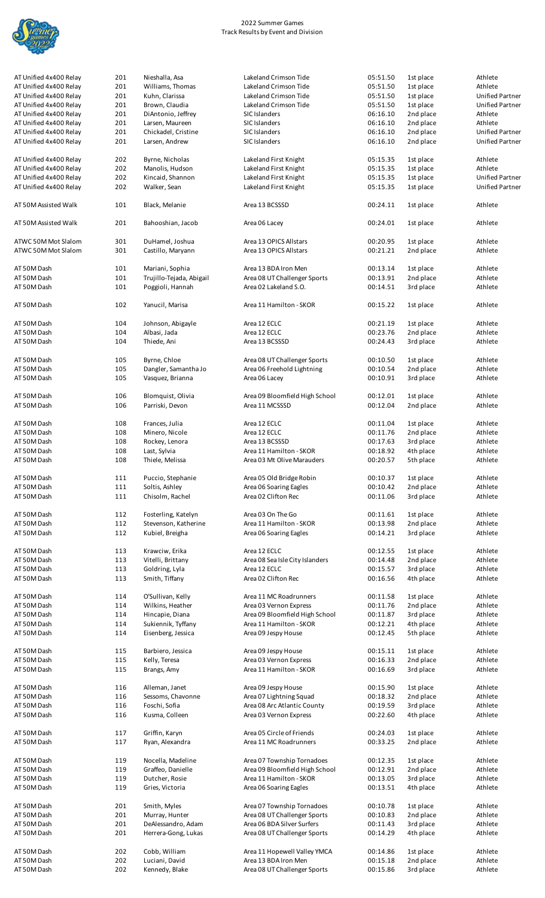

| AT Unified 4x400 Relay     | 201        | Nieshalla, Asa                               | Lakeland Crimson Tide                                 | 05:51.50             | 1st place              | Athlete                |
|----------------------------|------------|----------------------------------------------|-------------------------------------------------------|----------------------|------------------------|------------------------|
| AT Unified 4x400 Relav     | 201        | Williams, Thomas                             | Lakeland Crimson Tide                                 | 05:51.50             | 1st place              | Athlete                |
| AT Unified 4x400 Relay     | 201        | Kuhn, Clarissa                               | Lakeland Crimson Tide                                 | 05:51.50             | 1st place              | <b>Unified Partner</b> |
| AT Unified 4x400 Relay     | 201        | Brown, Claudia                               | Lakeland Crimson Tide                                 | 05:51.50             | 1st place              | <b>Unified Partner</b> |
|                            |            |                                              |                                                       |                      |                        |                        |
| AT Unified 4x400 Relay     | 201        | DiAntonio, Jeffrey                           | SIC Islanders                                         | 06:16.10             | 2nd place              | Athlete                |
| AT Unified 4x400 Relay     | 201        | Larsen, Maureen                              | SIC Islanders                                         | 06:16.10             | 2nd place              | Athlete                |
| AT Unified 4x400 Relay     | 201        | Chickadel, Cristine                          | SIC Islanders                                         | 06:16.10             | 2nd place              | <b>Unified Partner</b> |
| AT Unified 4x400 Relay     | 201        | Larsen, Andrew                               | SIC Islanders                                         | 06:16.10             | 2nd place              | <b>Unified Partner</b> |
| AT Unified 4x400 Relay     | 202        | Byrne, Nicholas                              | Lakeland First Knight                                 | 05:15.35             | 1st place              | Athlete                |
| AT Unified 4x400 Relay     | 202        | Manolis, Hudson                              | Lakeland First Knight                                 | 05:15.35             | 1st place              | Athlete                |
| AT Unified 4x400 Relay     | 202        | Kincaid, Shannon                             | Lakeland First Knight                                 | 05:15.35             | 1st place              | <b>Unified Partner</b> |
| AT Unified 4x400 Relay     | 202        | Walker, Sean                                 | Lakeland First Knight                                 | 05:15.35             | 1st place              | <b>Unified Partner</b> |
|                            |            |                                              |                                                       |                      |                        |                        |
| AT 50M Assisted Walk       | 101        | Black, Melanie                               | Area 13 BCSSSD                                        | 00:24.11             | 1st place              | Athlete                |
| AT 50M Assisted Walk       | 201        | Bahooshian, Jacob                            | Area 06 Lacey                                         | 00:24.01             | 1st place              | Athlete                |
| ATWC 50M Mot Slalom        | 301        | DuHamel, Joshua                              | Area 13 OPICS Allstars                                | 00:20.95             | 1st place              | Athlete                |
| ATWC 50M Mot Slalom        | 301        | Castillo, Maryann                            | Area 13 OPICS Allstars                                | 00:21.21             | 2nd place              | Athlete                |
| AT 50M Dash                | 101        | Mariani, Sophia                              | Area 13 BDA Iron Men                                  | 00:13.14             | 1st place              | Athlete                |
| AT 50M Dash                |            |                                              |                                                       | 00:13.91             |                        | Athlete                |
| AT 50M Dash                | 101<br>101 | Trujillo-Tejada, Abigail<br>Poggioli, Hannah | Area 08 UT Challenger Sports<br>Area 02 Lakeland S.O. | 00:14.51             | 2nd place<br>3rd place | Athlete                |
|                            |            |                                              |                                                       |                      |                        |                        |
| AT 50M Dash                | 102        | Yanucil, Marisa                              | Area 11 Hamilton - SKOR                               | 00:15.22             | 1st place              | Athlete                |
| AT 50M Dash                | 104        | Johnson, Abigayle                            | Area 12 ECLC                                          | 00:21.19             | 1st place              | Athlete                |
| AT 50M Dash                | 104        | Albasi, Jada                                 | Area 12 ECLC                                          | 00:23.76             | 2nd place              | Athlete                |
| AT 50M Dash                | 104        | Thiede, Ani                                  | Area 13 BCSSSD                                        | 00:24.43             | 3rd place              | Athlete                |
|                            |            |                                              |                                                       |                      |                        |                        |
| AT 50M Dash                | 105        | Byrne, Chloe                                 | Area 08 UT Challenger Sports                          | 00:10.50             | 1st place              | Athlete                |
| AT 50M Dash                | 105        | Dangler, Samantha Jo                         | Area 06 Freehold Lightning                            | 00:10.54             | 2nd place              | Athlete                |
| AT 50M Dash                | 105        | Vasquez, Brianna                             | Area 06 Lacey                                         | 00:10.91             | 3rd place              | Athlete                |
|                            |            |                                              |                                                       |                      |                        |                        |
| AT 50M Dash                | 106        | Blomquist, Olivia                            | Area 09 Bloomfield High School                        | 00:12.01             | 1st place              | Athlete                |
| AT 50M Dash                | 106        | Parriski, Devon                              | Area 11 MCSSSD                                        | 00:12.04             | 2nd place              | Athlete                |
|                            |            |                                              |                                                       |                      |                        |                        |
| AT 50M Dash                | 108        | Frances, Julia                               | Area 12 ECLC                                          | 00:11.04             | 1st place              | Athlete                |
| AT 50M Dash                | 108        | Minero, Nicole                               | Area 12 ECLC                                          | 00:11.76             | 2nd place              | Athlete                |
| AT 50M Dash                | 108        | Rockey, Lenora                               | Area 13 BCSSSD                                        | 00:17.63             | 3rd place              | Athlete                |
| AT 50M Dash                | 108        | Last, Sylvia                                 | Area 11 Hamilton - SKOR                               | 00:18.92             | 4th place              | Athlete                |
| AT 50M Dash                | 108        | Thiele, Melissa                              | Area 03 Mt Olive Marauders                            | 00:20.57             | 5th place              | Athlete                |
|                            |            |                                              |                                                       |                      |                        |                        |
| AT 50M Dash                | 111        | Puccio, Stephanie                            | Area 05 Old Bridge Robin                              | 00:10.37             | 1st place              | Athlete                |
| AT 50M Dash                | 111        | Soltis, Ashley                               | Area 06 Soaring Eagles                                | 00:10.42             | 2nd place              | Athlete                |
| AT 50M Dash                | 111        | Chisolm, Rachel                              | Area 02 Clifton Rec                                   | 00:11.06             | 3rd place              | Athlete                |
|                            |            |                                              |                                                       |                      |                        |                        |
| AT 50M Dash                | 112        | Fosterling, Katelyn                          | Area 03 On The Go                                     | 00:11.61             | 1st place              | Athlete                |
| AT 50M Dash                | 112        | Stevenson, Katherine                         | Area 11 Hamilton - SKOR                               | 00:13.98             | 2nd place              | Athlete                |
| AT 50M Dash                | 112        | Kubiel, Breigha                              | Area 06 Soaring Eagles                                | 00:14.21             | 3rd place              | Athlete                |
| AT 50M Dash                | 113        | Krawciw, Erika                               | Area 12 ECLC                                          | 00:12.55             | 1st place              | Athlete                |
|                            |            |                                              |                                                       |                      |                        |                        |
| AT 50M Dash                | 113        | Vitelli, Brittany                            | Area 08 Sea Isle City Islanders                       | 00:14.48             | 2nd place              | Athlete                |
| AT 50M Dash                | 113        | Goldring, Lyla                               | Area 12 ECLC                                          | 00:15.57             | 3rd place              | Athlete                |
| AT 50M Dash                | 113        | Smith, Tiffany                               | Area 02 Clifton Rec                                   | 00:16.56             | 4th place              | Athlete                |
| AT 50M Dash                | 114        | O'Sullivan, Kelly                            | Area 11 MC Roadrunners                                | 00:11.58             | 1st place              | Athlete                |
| AT 50M Dash                | 114        | Wilkins, Heather                             | Area 03 Vernon Express                                | 00:11.76             | 2nd place              | Athlete                |
| AT 50M Dash                | 114        | Hincapie, Diana                              | Area 09 Bloomfield High School                        | 00:11.87             | 3rd place              | Athlete                |
|                            |            |                                              |                                                       |                      |                        |                        |
| AT 50M Dash                | 114        | Sukiennik, Tyffany                           | Area 11 Hamilton - SKOR                               | 00:12.21             | 4th place              | Athlete                |
| AT 50M Dash                | 114        | Eisenberg, Jessica                           | Area 09 Jespy House                                   | 00:12.45             | 5th place              | Athlete                |
| AT 50M Dash                | 115        | Barbiero, Jessica                            | Area 09 Jespy House                                   | 00:15.11             | 1st place              | Athlete                |
|                            |            |                                              |                                                       |                      |                        |                        |
| AT 50M Dash                | 115        | Kelly, Teresa                                | Area 03 Vernon Express                                | 00:16.33             | 2nd place              | Athlete                |
| AT 50M Dash                | 115        | Brangs, Amy                                  | Area 11 Hamilton - SKOR                               | 00:16.69             | 3rd place              | Athlete                |
| AT 50M Dash                | 116        | Alleman, Janet                               | Area 09 Jespy House                                   | 00:15.90             | 1st place              | Athlete                |
|                            |            |                                              |                                                       |                      |                        |                        |
| AT 50M Dash                | 116        | Sessoms, Chavonne                            | Area 07 Lightning Squad                               | 00:18.32             | 2nd place              | Athlete                |
| AT 50M Dash<br>AT 50M Dash | 116<br>116 | Foschi, Sofia<br>Kusma, Colleen              | Area 08 Arc Atlantic County<br>Area 03 Vernon Express | 00:19.59<br>00:22.60 | 3rd place<br>4th place | Athlete<br>Athlete     |
|                            |            |                                              |                                                       |                      |                        |                        |
| AT 50M Dash                | 117        | Griffin, Karyn                               | Area 05 Circle of Friends                             | 00:24.03             | 1st place              | Athlete                |
| AT 50M Dash                | 117        | Ryan, Alexandra                              | Area 11 MC Roadrunners                                | 00:33.25             | 2nd place              | Athlete                |
|                            |            |                                              |                                                       |                      |                        |                        |
| AT 50M Dash                | 119        | Nocella, Madeline                            | Area 07 Township Tornadoes                            | 00:12.35             | 1st place              | Athlete                |
| AT 50M Dash                | 119        | Graffeo, Danielle                            | Area 09 Bloomfield High School                        | 00:12.91             | 2nd place              | Athlete                |
| AT 50M Dash                | 119        | Dutcher, Rosie                               | Area 11 Hamilton - SKOR                               | 00:13.05             | 3rd place              | Athlete                |
| AT 50M Dash                | 119        | Gries, Victoria                              | Area 06 Soaring Eagles                                | 00:13.51             | 4th place              | Athlete                |
|                            |            |                                              |                                                       |                      |                        |                        |
| AT 50M Dash                | 201        | Smith, Myles                                 | Area 07 Township Tornadoes                            | 00:10.78             | 1st place              | Athlete                |
| AT 50M Dash                | 201        | Murray, Hunter                               | Area 08 UT Challenger Sports                          | 00:10.83             | 2nd place              | Athlete                |
| AT 50M Dash                | 201        | DeAlessandro, Adam                           | Area 06 BDA Silver Surfers                            | 00:11.43             | 3rd place              | Athlete                |
| AT 50M Dash                | 201        | Herrera-Gong, Lukas                          | Area 08 UT Challenger Sports                          | 00:14.29             | 4th place              | Athlete                |
|                            |            |                                              |                                                       |                      |                        |                        |
| AT 50M Dash                | 202        | Cobb, William                                | Area 11 Hopewell Valley YMCA                          | 00:14.86             | 1st place              | Athlete                |
| AT 50M Dash                | 202        | Luciani, David                               | Area 13 BDA Iron Men                                  | 00:15.18             | 2nd place              | Athlete                |
|                            | 202        | Kennedy, Blake                               | Area 08 UT Challenger Sports                          |                      |                        | Athlete                |
| AT 50M Dash                |            |                                              |                                                       | 00:15.86             | 3rd place              |                        |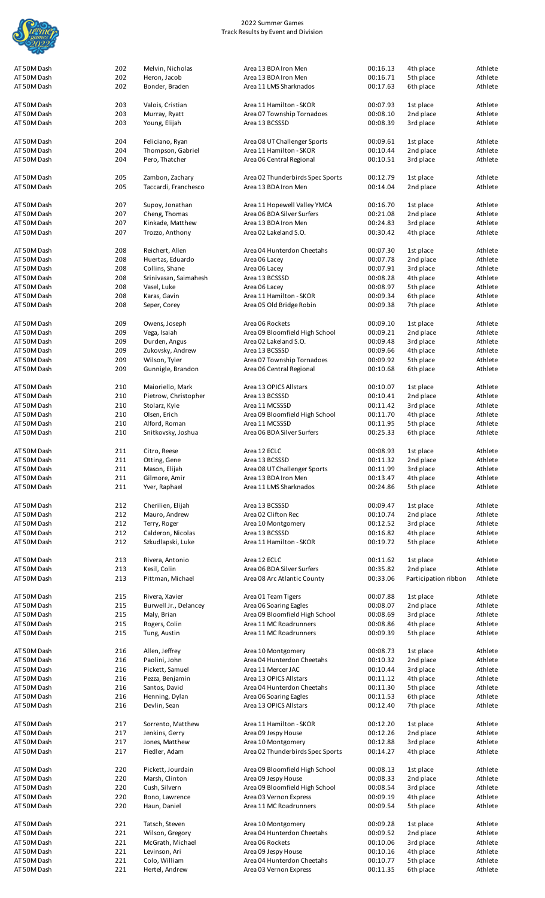

| AT 50M Dash | 202 | Melvin, Nicholas      | Area 13 BDA Iron Men             | 00:16.13 | 4th place            | Athlete            |
|-------------|-----|-----------------------|----------------------------------|----------|----------------------|--------------------|
| AT 50M Dash | 202 | Heron, Jacob          | Area 13 BDA Iron Men             | 00:16.71 | 5th place            | Athlete            |
|             |     |                       |                                  |          |                      |                    |
| AT 50M Dash | 202 | Bonder, Braden        | Area 11 LMS Sharknados           | 00:17.63 | 6th place            | Athlete            |
|             |     |                       |                                  |          |                      |                    |
| AT 50M Dash |     |                       | Area 11 Hamilton - SKOR          |          |                      |                    |
|             | 203 | Valois, Cristian      |                                  | 00:07.93 | 1st place            | Athlete            |
| AT 50M Dash | 203 | Murray, Ryatt         | Area 07 Township Tornadoes       | 00:08.10 | 2nd place            | Athlete            |
| AT 50M Dash | 203 | Young, Elijah         | Area 13 BCSSSD                   | 00:08.39 | 3rd place            | Athlete            |
|             |     |                       |                                  |          |                      |                    |
|             |     |                       |                                  |          |                      |                    |
| AT 50M Dash | 204 | Feliciano, Ryan       | Area 08 UT Challenger Sports     | 00:09.61 | 1st place            | Athlete            |
| AT 50M Dash | 204 | Thompson, Gabriel     | Area 11 Hamilton - SKOR          | 00:10.44 | 2nd place            | Athlete            |
|             |     |                       |                                  |          |                      |                    |
| AT 50M Dash | 204 | Pero, Thatcher        | Area 06 Central Regional         | 00:10.51 | 3rd place            | Athlete            |
|             |     |                       |                                  |          |                      |                    |
|             |     |                       |                                  |          |                      |                    |
| AT 50M Dash | 205 | Zambon, Zachary       | Area 02 Thunderbirds Spec Sports | 00:12.79 | 1st place            | Athlete            |
| AT 50M Dash | 205 | Taccardi, Franchesco  | Area 13 BDA Iron Men             | 00:14.04 | 2nd place            | Athlete            |
|             |     |                       |                                  |          |                      |                    |
|             |     |                       |                                  |          |                      |                    |
| AT 50M Dash | 207 | Supoy, Jonathan       | Area 11 Hopewell Valley YMCA     | 00:16.70 | 1st place            | Athlete            |
| AT 50M Dash | 207 | Cheng, Thomas         | Area 06 BDA Silver Surfers       | 00:21.08 | 2nd place            | Athlete            |
| AT 50M Dash | 207 | Kinkade, Matthew      | Area 13 BDA Iron Men             | 00:24.83 | 3rd place            | Athlete            |
|             |     |                       |                                  |          |                      |                    |
| AT 50M Dash | 207 | Trozzo, Anthony       | Area 02 Lakeland S.O.            | 00:30.42 | 4th place            | Athlete            |
|             |     |                       |                                  |          |                      |                    |
|             |     |                       |                                  |          |                      |                    |
| AT 50M Dash | 208 | Reichert, Allen       | Area 04 Hunterdon Cheetahs       | 00:07.30 | 1st place            | Athlete            |
| AT 50M Dash | 208 | Huertas, Eduardo      | Area 06 Lacey                    | 00:07.78 | 2nd place            | Athlete            |
| AT 50M Dash | 208 | Collins, Shane        | Area 06 Lacey                    | 00:07.91 | 3rd place            | Athlete            |
|             |     |                       |                                  |          |                      |                    |
| AT 50M Dash | 208 | Srinivasan, Saimahesh | Area 13 BCSSSD                   | 00:08.28 | 4th place            | Athlete            |
| AT 50M Dash | 208 | Vasel, Luke           | Area 06 Lacey                    | 00:08.97 | 5th place            | Athlete            |
|             |     |                       |                                  |          |                      |                    |
| AT 50M Dash | 208 | Karas, Gavin          | Area 11 Hamilton - SKOR          | 00:09.34 | 6th place            | Athlete            |
| AT 50M Dash | 208 | Seper, Corey          | Area 05 Old Bridge Robin         | 00:09.38 | 7th place            | Athlete            |
|             |     |                       |                                  |          |                      |                    |
|             |     |                       |                                  |          |                      |                    |
| AT 50M Dash | 209 | Owens, Joseph         | Area 06 Rockets                  | 00:09.10 | 1st place            | Athlete            |
| AT 50M Dash | 209 | Vega, Isaiah          | Area 09 Bloomfield High School   | 00:09.21 | 2nd place            | Athlete            |
|             |     |                       |                                  |          |                      |                    |
| AT 50M Dash | 209 | Durden, Angus         | Area 02 Lakeland S.O.            | 00:09.48 | 3rd place            | Athlete            |
| AT 50M Dash | 209 | Zukovsky, Andrew      | Area 13 BCSSSD                   | 00:09.66 | 4th place            | Athlete            |
|             | 209 | Wilson, Tyler         |                                  |          |                      |                    |
| AT 50M Dash |     |                       | Area 07 Township Tornadoes       | 00:09.92 | 5th place            | Athlete            |
| AT 50M Dash | 209 | Gunnigle, Brandon     | Area 06 Central Regional         | 00:10.68 | 6th place            | Athlete            |
|             |     |                       |                                  |          |                      |                    |
|             |     |                       |                                  |          |                      |                    |
| AT 50M Dash | 210 | Maioriello, Mark      | Area 13 OPICS Allstars           | 00:10.07 | 1st place            | Athlete            |
| AT 50M Dash | 210 | Pietrow, Christopher  | Area 13 BCSSSD                   | 00:10.41 | 2nd place            | Athlete            |
|             |     |                       |                                  |          |                      |                    |
| AT 50M Dash | 210 | Stolarz, Kyle         | Area 11 MCSSSD                   | 00:11.42 | 3rd place            | Athlete            |
| AT 50M Dash | 210 | Olsen, Erich          | Area 09 Bloomfield High School   | 00:11.70 | 4th place            | Athlete            |
| AT 50M Dash | 210 | Alford, Roman         | Area 11 MCSSSD                   | 00:11.95 | 5th place            | Athlete            |
|             |     |                       |                                  |          |                      |                    |
| AT 50M Dash | 210 | Snitkovsky, Joshua    | Area 06 BDA Silver Surfers       | 00:25.33 | 6th place            | Athlete            |
|             |     |                       |                                  |          |                      |                    |
| AT 50M Dash |     | Citro, Reese          |                                  |          |                      |                    |
|             | 211 |                       | Area 12 ECLC                     | 00:08.93 | 1st place            | Athlete            |
| AT 50M Dash | 211 | Otting, Gene          | Area 13 BCSSSD                   | 00:11.32 | 2nd place            | Athlete            |
| AT 50M Dash | 211 | Mason, Elijah         | Area 08 UT Challenger Sports     | 00:11.99 | 3rd place            | Athlete            |
|             |     |                       |                                  |          |                      |                    |
| AT 50M Dash | 211 | Gilmore, Amir         | Area 13 BDA Iron Men             | 00:13.47 | 4th place            | Athlete            |
|             | 211 | Yver, Raphael         | Area 11 LMS Sharknados           | 00:24.86 | 5th place            | Athlete            |
|             |     |                       |                                  |          |                      |                    |
| AT 50M Dash |     |                       |                                  |          |                      |                    |
|             |     |                       |                                  |          |                      |                    |
| AT 50M Dash | 212 | Cherilien, Elijah     | Area 13 BCSSSD                   | 00:09.47 | 1st place            | Athlete            |
|             |     |                       |                                  |          |                      |                    |
| AT 50M Dash | 212 | Mauro, Andrew         | Area 02 Clifton Rec              | 00:10.74 | 2nd place            | Athlete            |
| AT 50M Dash | 212 | Terry, Roger          | Area 10 Montgomery               | 00:12.52 | 3rd place            | Athlete            |
|             |     |                       |                                  |          |                      |                    |
| AT 50M Dash | 212 | Calderon, Nicolas     | Area 13 BCSSSD                   | 00:16.82 | 4th place            |                    |
| AT 50M Dash | 212 | Szkudlapski, Luke     | Area 11 Hamilton - SKOR          | 00:19.72 | 5th place            | Athlete            |
|             |     |                       |                                  |          |                      |                    |
|             |     |                       |                                  |          |                      |                    |
| AT 50M Dash | 213 | Rivera, Antonio       | Area 12 ECLC                     | 00:11.62 | 1st place            | Athlete            |
| AT 50M Dash | 213 | Kesil, Colin          | Area 06 BDA Silver Surfers       | 00:35.82 | 2nd place            | Athlete            |
|             |     |                       |                                  |          |                      |                    |
| AT 50M Dash | 213 | Pittman, Michael      | Area 08 Arc Atlantic County      | 00:33.06 | Participation ribbon | Athlete            |
|             |     |                       |                                  |          |                      |                    |
| AT 50M Dash | 215 | Rivera, Xavier        | Area 01 Team Tigers              | 00:07.88 | 1st place            | Athlete<br>Athlete |
|             |     |                       |                                  |          |                      |                    |
| AT 50M Dash | 215 | Burwell Jr., Delancey | Area 06 Soaring Eagles           | 00:08.07 | 2nd place            | Athlete            |
| AT 50M Dash | 215 | Maly, Brian           | Area 09 Bloomfield High School   | 00:08.69 | 3rd place            |                    |
|             |     |                       |                                  |          |                      |                    |
| AT 50M Dash | 215 | Rogers, Colin         | Area 11 MC Roadrunners           | 00:08.86 | 4th place            | Athlete<br>Athlete |
| AT 50M Dash | 215 | Tung, Austin          | Area 11 MC Roadrunners           | 00:09.39 | 5th place            | Athlete            |
|             |     |                       |                                  |          |                      |                    |
|             |     |                       |                                  |          |                      |                    |
| AT 50M Dash | 216 | Allen, Jeffrey        | Area 10 Montgomery               | 00:08.73 | 1st place            | Athlete            |
| AT 50M Dash | 216 | Paolini, John         | Area 04 Hunterdon Cheetahs       | 00:10.32 | 2nd place            | Athlete            |
| AT 50M Dash | 216 | Pickett, Samuel       | Area 11 Mercer JAC               | 00:10.44 | 3rd place            | Athlete            |
|             |     |                       |                                  |          |                      |                    |
| AT 50M Dash | 216 | Pezza, Benjamin       | Area 13 OPICS Allstars           | 00:11.12 | 4th place            | Athlete            |
| AT 50M Dash | 216 | Santos, David         | Area 04 Hunterdon Cheetahs       | 00:11.30 | 5th place            | Athlete            |
|             |     |                       |                                  |          |                      |                    |
| AT 50M Dash | 216 | Henning, Dylan        | Area 06 Soaring Eagles           | 00:11.53 | 6th place            | Athlete            |
| AT 50M Dash | 216 | Devlin, Sean          | Area 13 OPICS Allstars           | 00:12.40 | 7th place            | Athlete            |
|             |     |                       |                                  |          |                      |                    |
|             |     |                       |                                  |          |                      |                    |
| AT 50M Dash | 217 | Sorrento, Matthew     | Area 11 Hamilton - SKOR          | 00:12.20 | 1st place            | Athlete            |
| AT 50M Dash | 217 | Jenkins, Gerry        | Area 09 Jespy House              | 00:12.26 | 2nd place            | Athlete            |
|             |     |                       |                                  |          |                      |                    |
| AT 50M Dash | 217 | Jones, Matthew        | Area 10 Montgomery               | 00:12.88 | 3rd place            | Athlete            |
| AT 50M Dash | 217 | Fiedler, Adam         | Area 02 Thunderbirds Spec Sports | 00:14.27 | 4th place            | Athlete            |
|             |     |                       |                                  |          |                      |                    |
|             |     |                       |                                  |          |                      |                    |
| AT 50M Dash | 220 | Pickett, Jourdain     | Area 09 Bloomfield High School   | 00:08.13 | 1st place            | Athlete            |
| AT 50M Dash | 220 | Marsh, Clinton        | Area 09 Jespy House              | 00:08.33 | 2nd place            | Athlete            |
|             |     |                       |                                  |          |                      |                    |
| AT 50M Dash | 220 | Cush, Silvern         | Area 09 Bloomfield High School   | 00:08.54 | 3rd place            | Athlete            |
| AT 50M Dash | 220 | Bono, Lawrence        | Area 03 Vernon Express           | 00:09.19 | 4th place            | Athlete            |
|             |     |                       |                                  |          |                      |                    |
| AT 50M Dash | 220 | Haun, Daniel          | Area 11 MC Roadrunners           | 00:09.54 | 5th place            | Athlete            |
|             |     |                       |                                  |          |                      |                    |
| AT 50M Dash | 221 | Tatsch, Steven        | Area 10 Montgomery               | 00:09.28 | 1st place            | Athlete            |
|             |     |                       |                                  |          |                      |                    |
| AT 50M Dash | 221 | Wilson, Gregory       | Area 04 Hunterdon Cheetahs       | 00:09.52 | 2nd place            | Athlete            |
| AT 50M Dash | 221 | McGrath, Michael      | Area 06 Rockets                  | 00:10.06 | 3rd place            | Athlete            |
|             |     |                       |                                  |          |                      |                    |
| AT 50M Dash | 221 | Levinson, Ari         | Area 09 Jespy House              | 00:10.16 | 4th place            | Athlete            |
| AT 50M Dash | 221 | Colo, William         | Area 04 Hunterdon Cheetahs       | 00:10.77 | 5th place            | Athlete            |
| AT 50M Dash | 221 | Hertel, Andrew        | Area 03 Vernon Express           | 00:11.35 | 6th place            | Athlete            |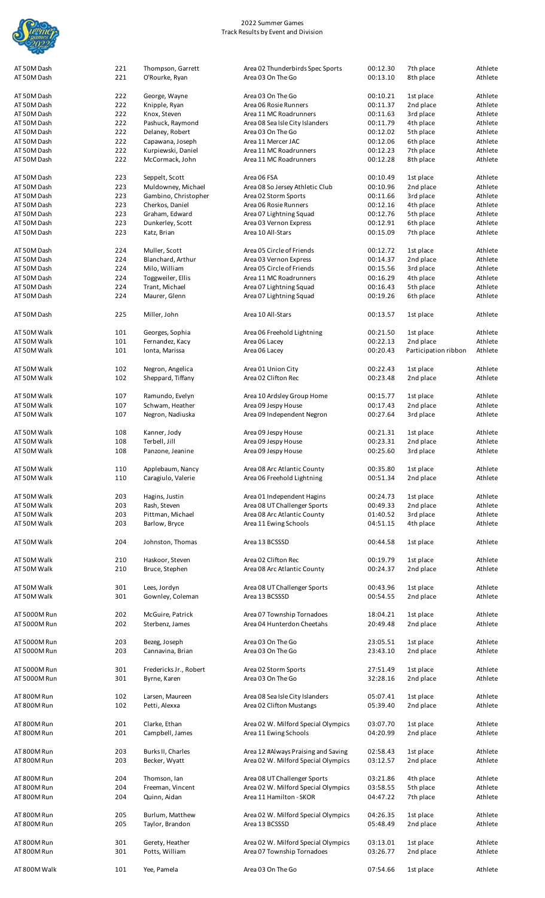

| AT 50M Dash  | 221 | Thompson, Garrett      | Area 02 Thunderbirds Spec Sports    | 00:12.30 | 7th place            | Athlete |
|--------------|-----|------------------------|-------------------------------------|----------|----------------------|---------|
| AT 50M Dash  | 221 | O'Rourke, Ryan         | Area 03 On The Go                   | 00:13.10 | 8th place            | Athlete |
|              |     |                        |                                     |          |                      |         |
| AT 50M Dash  | 222 | George, Wayne          | Area 03 On The Go                   | 00:10.21 | 1st place            | Athlete |
| AT 50M Dash  | 222 | Knipple, Ryan          | Area 06 Rosie Runners               | 00:11.37 | 2nd place            | Athlete |
| AT 50M Dash  | 222 | Knox, Steven           | Area 11 MC Roadrunners              | 00:11.63 | 3rd place            | Athlete |
| AT 50M Dash  | 222 | Pashuck, Raymond       | Area 08 Sea Isle City Islanders     | 00:11.79 | 4th place            | Athlete |
| AT 50M Dash  | 222 | Delaney, Robert        | Area 03 On The Go                   | 00:12.02 | 5th place            | Athlete |
|              |     |                        |                                     |          |                      |         |
| AT 50M Dash  | 222 | Capawana, Joseph       | Area 11 Mercer JAC                  | 00:12.06 | 6th place            | Athlete |
| AT 50M Dash  | 222 | Kurpiewski, Daniel     | Area 11 MC Roadrunners              | 00:12.23 | 7th place            | Athlete |
| AT 50M Dash  | 222 | McCormack, John        | Area 11 MC Roadrunners              | 00:12.28 | 8th place            | Athlete |
|              |     |                        |                                     |          |                      |         |
| AT 50M Dash  | 223 | Seppelt, Scott         | Area 06 FSA                         | 00:10.49 | 1st place            | Athlete |
| AT 50M Dash  | 223 | Muldowney, Michael     | Area 08 So Jersey Athletic Club     | 00:10.96 | 2nd place            | Athlete |
| AT 50M Dash  | 223 | Gambino, Christopher   | Area 02 Storm Sports                | 00:11.66 | 3rd place            | Athlete |
| AT 50M Dash  | 223 | Cherkos, Daniel        | Area 06 Rosie Runners               | 00:12.16 | 4th place            | Athlete |
| AT 50M Dash  | 223 | Graham, Edward         | Area 07 Lightning Squad             | 00:12.76 | 5th place            | Athlete |
| AT 50M Dash  | 223 | Dunkerley, Scott       | Area 03 Vernon Express              | 00:12.91 | 6th place            | Athlete |
| AT 50M Dash  | 223 | Katz, Brian            | Area 10 All-Stars                   | 00:15.09 | 7th place            | Athlete |
|              |     |                        |                                     |          |                      |         |
| AT 50M Dash  | 224 | Muller, Scott          | Area 05 Circle of Friends           | 00:12.72 | 1st place            | Athlete |
|              |     |                        |                                     |          |                      |         |
| AT 50M Dash  | 224 | Blanchard, Arthur      | Area 03 Vernon Express              | 00:14.37 | 2nd place            | Athlete |
| AT 50M Dash  | 224 | Milo, William          | Area 05 Circle of Friends           | 00:15.56 | 3rd place            | Athlete |
| AT 50M Dash  | 224 | Toggweiler, Ellis      | Area 11 MC Roadrunners              | 00:16.29 | 4th place            | Athlete |
| AT 50M Dash  | 224 | Trant, Michael         | Area 07 Lightning Squad             | 00:16.43 | 5th place            | Athlete |
| AT 50M Dash  | 224 | Maurer, Glenn          | Area 07 Lightning Squad             | 00:19.26 | 6th place            | Athlete |
|              |     |                        |                                     |          |                      |         |
| AT 50M Dash  | 225 | Miller, John           | Area 10 All-Stars                   | 00:13.57 | 1st place            | Athlete |
|              |     |                        |                                     |          |                      |         |
| AT 50M Walk  | 101 | Georges, Sophia        | Area 06 Freehold Lightning          | 00:21.50 | 1st place            | Athlete |
| AT 50M Walk  | 101 | Fernandez, Kacy        | Area 06 Lacey                       | 00:22.13 | 2nd place            | Athlete |
| AT 50M Walk  | 101 | Ionta, Marissa         | Area 06 Lacey                       | 00:20.43 | Participation ribbon | Athlete |
|              |     |                        |                                     |          |                      |         |
| AT 50M Walk  | 102 | Negron, Angelica       | Area 01 Union City                  | 00:22.43 | 1st place            | Athlete |
| AT 50M Walk  | 102 | Sheppard, Tiffany      | Area 02 Clifton Rec                 | 00:23.48 | 2nd place            | Athlete |
|              |     |                        |                                     |          |                      |         |
| AT 50M Walk  | 107 | Ramundo, Evelyn        | Area 10 Ardsley Group Home          | 00:15.77 | 1st place            | Athlete |
| AT 50M Walk  | 107 | Schwam, Heather        | Area 09 Jespy House                 | 00:17.43 | 2nd place            | Athlete |
| AT 50M Walk  | 107 | Negron, Nadiuska       | Area 09 Independent Negron          | 00:27.64 | 3rd place            | Athlete |
|              |     |                        |                                     |          |                      |         |
| AT 50M Walk  | 108 | Kanner, Jody           | Area 09 Jespy House                 | 00:21.31 | 1st place            | Athlete |
| AT 50M Walk  | 108 | Terbell, Jill          | Area 09 Jespy House                 | 00:23.31 | 2nd place            | Athlete |
|              |     |                        |                                     |          |                      |         |
| AT 50M Walk  | 108 | Panzone, Jeanine       | Area 09 Jespy House                 | 00:25.60 | 3rd place            | Athlete |
|              |     | Applebaum, Nancy       | Area 08 Arc Atlantic County         |          |                      | Athlete |
| AT 50M Walk  | 110 |                        |                                     | 00:35.80 | 1st place            |         |
| AT 50M Walk  | 110 | Caragiulo, Valerie     | Area 06 Freehold Lightning          | 00:51.34 | 2nd place            | Athlete |
|              |     |                        |                                     |          |                      |         |
| AT 50M Walk  | 203 | Hagins, Justin         | Area 01 Independent Hagins          | 00:24.73 | 1st place            | Athlete |
| AT 50M Walk  | 203 | Rash, Steven           | Area 08 UT Challenger Sports        | 00:49.33 | 2nd place            | Athlete |
| AT 50M Walk  | 203 | Pittman, Michael       | Area 08 Arc Atlantic County         | 01:40.52 | 3rd place            | Athlete |
| AT 50M Walk  | 203 | Barlow, Bryce          | Area 11 Ewing Schools               | 04:51.15 | 4th place            | Athlete |
|              |     |                        |                                     |          |                      |         |
| AT 50M Walk  | 204 | Johnston, Thomas       | Area 13 BCSSSD                      | 00:44.58 | 1st place            | Athlete |
|              |     |                        |                                     |          |                      |         |
| AT 50M Walk  | 210 | Haskoor, Steven        | Area 02 Clifton Rec                 | 00:19.79 | 1st place            | Athlete |
| AT 50M Walk  | 210 | Bruce, Stephen         | Area 08 Arc Atlantic County         | 00:24.37 | 2nd place            | Athlete |
|              |     |                        |                                     |          |                      |         |
| AT 50M Walk  | 301 | Lees, Jordyn           | Area 08 UT Challenger Sports        | 00:43.96 | 1st place            | Athlete |
| AT 50M Walk  | 301 | Gownley, Coleman       | Area 13 BCSSSD                      | 00:54.55 | 2nd place            | Athlete |
|              |     |                        |                                     |          |                      |         |
| AT 5000M Run |     |                        |                                     |          |                      |         |
|              |     |                        |                                     |          |                      |         |
|              | 202 | McGuire, Patrick       | Area 07 Township Tornadoes          | 18:04.21 | 1st place            | Athlete |
| AT 5000M Run | 202 | Sterbenz, James        | Area 04 Hunterdon Cheetahs          | 20:49.48 | 2nd place            | Athlete |
|              |     |                        |                                     |          |                      |         |
| AT 5000M Run | 203 | Bezeg, Joseph          | Area 03 On The Go                   | 23:05.51 | 1st place            | Athlete |
| AT 5000M Run | 203 | Cannavina, Brian       | Area 03 On The Go                   | 23:43.10 | 2nd place            | Athlete |
|              |     |                        |                                     |          |                      |         |
| AT 5000M Run | 301 | Fredericks Jr., Robert | Area 02 Storm Sports                | 27:51.49 | 1st place            | Athlete |
| AT 5000M Run | 301 | Byrne, Karen           | Area 03 On The Go                   | 32:28.16 | 2nd place            | Athlete |
|              |     |                        |                                     |          |                      |         |
| AT 800M Run  | 102 | Larsen, Maureen        | Area 08 Sea Isle City Islanders     | 05:07.41 | 1st place            | Athlete |
| AT 800M Run  | 102 | Petti, Alexxa          | Area 02 Clifton Mustangs            | 05:39.40 | 2nd place            | Athlete |
|              |     |                        |                                     |          |                      |         |
| AT 800M Run  | 201 | Clarke, Ethan          | Area 02 W. Milford Special Olympics | 03:07.70 | 1st place            | Athlete |
| AT 800M Run  | 201 | Campbell, James        | Area 11 Ewing Schools               | 04:20.99 | 2nd place            | Athlete |
|              |     |                        |                                     |          |                      |         |
| AT 800M Run  | 203 | Burks II, Charles      | Area 12 #Always Praising and Saving | 02:58.43 | 1st place            | Athlete |
| AT 800M Run  | 203 | Becker, Wyatt          | Area 02 W. Milford Special Olympics | 03:12.57 | 2nd place            | Athlete |
|              |     |                        |                                     |          |                      |         |
| AT 800M Run  | 204 | Thomson, Ian           | Area 08 UT Challenger Sports        | 03:21.86 | 4th place            | Athlete |
| AT 800M Run  | 204 | Freeman, Vincent       | Area 02 W. Milford Special Olympics | 03:58.55 | 5th place            | Athlete |
|              |     |                        |                                     |          |                      |         |
| AT 800M Run  | 204 | Quinn, Aidan           | Area 11 Hamilton - SKOR             | 04:47.22 | 7th place            | Athlete |
|              |     |                        |                                     |          |                      |         |
| AT 800M Run  | 205 | Burlum, Matthew        | Area 02 W. Milford Special Olympics | 04:26.35 | 1st place            | Athlete |
| AT 800M Run  | 205 | Taylor, Brandon        | Area 13 BCSSSD                      | 05:48.49 | 2nd place            | Athlete |
|              |     |                        |                                     |          |                      |         |
| AT 800M Run  | 301 | Gerety, Heather        | Area 02 W. Milford Special Olympics | 03:13.01 | 1st place            | Athlete |
| AT 800M Run  | 301 | Potts, William         | Area 07 Township Tornadoes          | 03:26.77 | 2nd place            | Athlete |
| AT 800M Walk | 101 | Yee, Pamela            | Area 03 On The Go                   | 07:54.66 | 1st place            | Athlete |